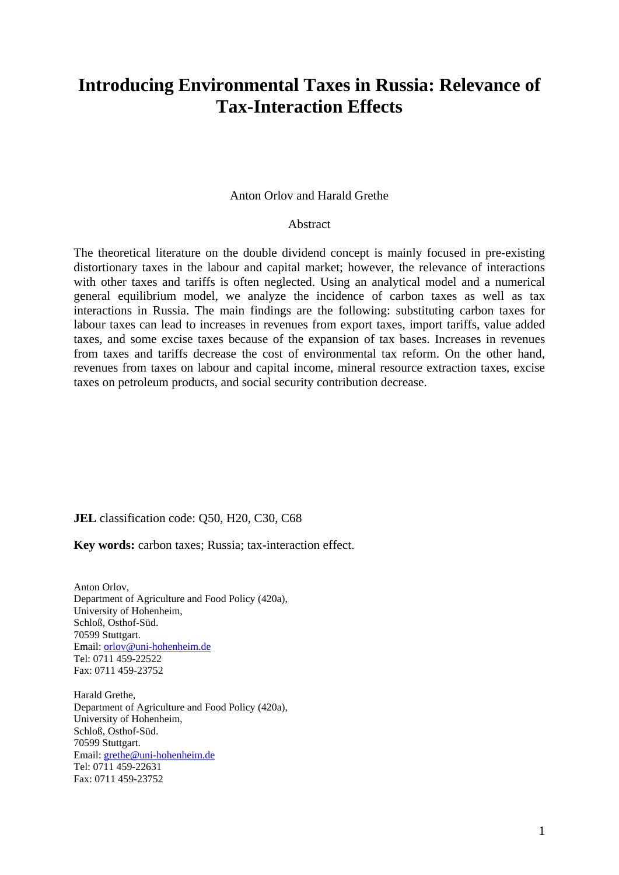# **Introducing Environmental Taxes in Russia: Relevance of Tax-Interaction Effects**

#### Anton Orlov and Harald Grethe

### Abstract

The theoretical literature on the double dividend concept is mainly focused in pre-existing distortionary taxes in the labour and capital market; however, the relevance of interactions with other taxes and tariffs is often neglected. Using an analytical model and a numerical general equilibrium model, we analyze the incidence of carbon taxes as well as tax interactions in Russia. The main findings are the following: substituting carbon taxes for labour taxes can lead to increases in revenues from export taxes, import tariffs, value added taxes, and some excise taxes because of the expansion of tax bases. Increases in revenues from taxes and tariffs decrease the cost of environmental tax reform. On the other hand, revenues from taxes on labour and capital income, mineral resource extraction taxes, excise taxes on petroleum products, and social security contribution decrease.

#### **JEL** classification code: Q50, H20, C30, C68

**Key words:** carbon taxes; Russia; tax-interaction effect.

Anton Orlov, Department of Agriculture and Food Policy (420a), University of Hohenheim, Schloß, Osthof-Süd. 70599 Stuttgart. Email: [orlov@uni-hohenheim.de](mailto:orlov@uni-hohenheim.de)  Tel: 0711 459-22522 Fax: 0711 459-23752

Harald Grethe, Department of Agriculture and Food Policy (420a), University of Hohenheim, Schloß, Osthof-Süd. 70599 Stuttgart. Email: [grethe@uni-hohenheim.de](mailto:grethe@uni-hohenheim.de)  Tel: 0711 459-22631 Fax: 0711 459-23752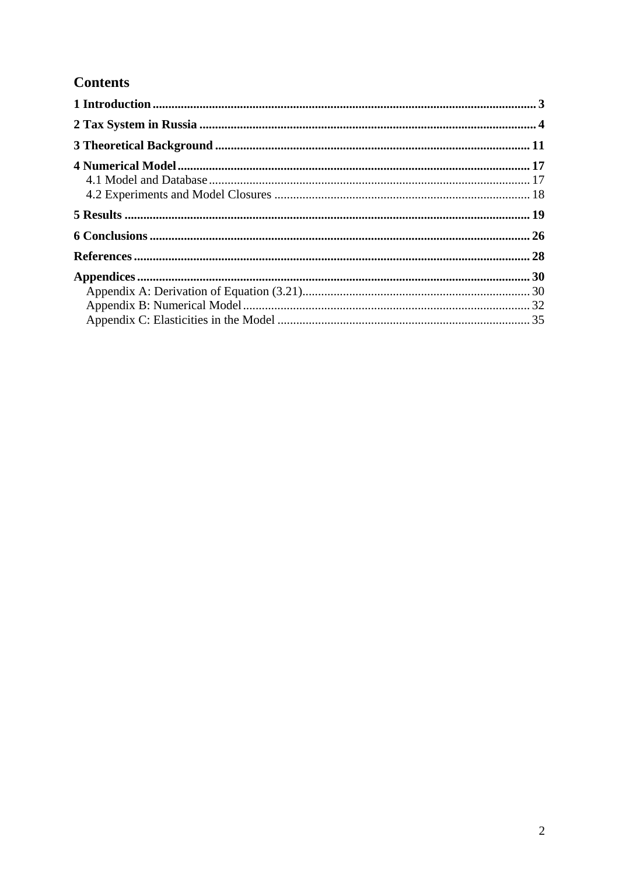## **Contents**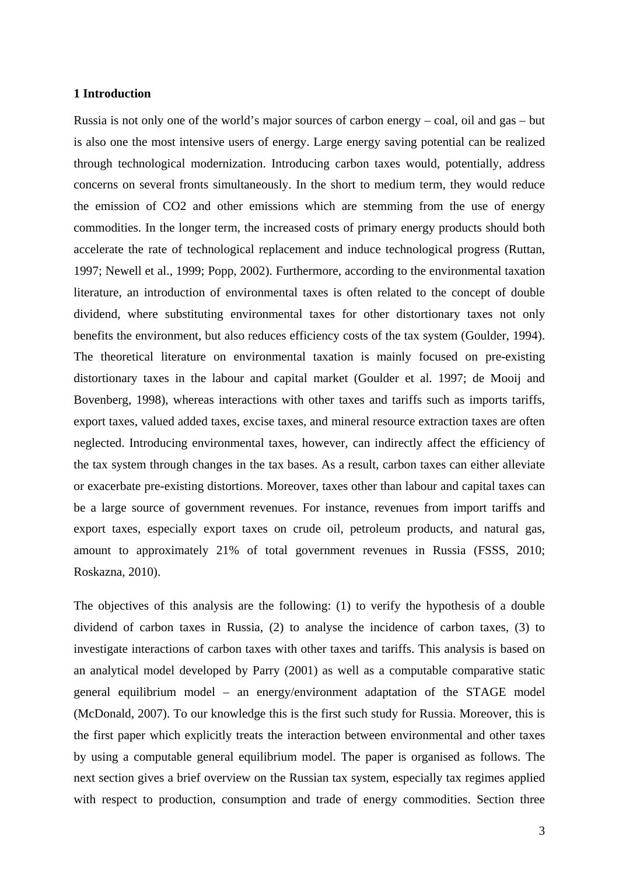#### <span id="page-2-0"></span>**1 Introduction**

Russia is not only one of the world's major sources of carbon energy – coal, oil and gas – but is also one the most intensive users of energy. Large energy saving potential can be realized through technological modernization. Introducing carbon taxes would, potentially, address concerns on several fronts simultaneously. In the short to medium term, they would reduce the emission of CO2 and other emissions which are stemming from the use of energy commodities. In the longer term, the increased costs of primary energy products should both accelerate the rate of technological replacement and induce technological progress (Ruttan, 1997; Newell et al., 1999; Popp, 2002). Furthermore, according to the environmental taxation literature, an introduction of environmental taxes is often related to the concept of double dividend, where substituting environmental taxes for other distortionary taxes not only benefits the environment, but also reduces efficiency costs of the tax system (Goulder, 1994). The theoretical literature on environmental taxation is mainly focused on pre-existing distortionary taxes in the labour and capital market (Goulder et al. 1997; de Mooij and Bovenberg, 1998), whereas interactions with other taxes and tariffs such as imports tariffs, export taxes, valued added taxes, excise taxes, and mineral resource extraction taxes are often neglected. Introducing environmental taxes, however, can indirectly affect the efficiency of the tax system through changes in the tax bases. As a result, carbon taxes can either alleviate or exacerbate pre-existing distortions. Moreover, taxes other than labour and capital taxes can be a large source of government revenues. For instance, revenues from import tariffs and export taxes, especially export taxes on crude oil, petroleum products, and natural gas, amount to approximately 21% of total government revenues in Russia (FSSS, 2010; Roskazna, 2010).

The objectives of this analysis are the following: (1) to verify the hypothesis of a double dividend of carbon taxes in Russia, (2) to analyse the incidence of carbon taxes, (3) to investigate interactions of carbon taxes with other taxes and tariffs. This analysis is based on an analytical model developed by Parry (2001) as well as a computable comparative static general equilibrium model – an energy/environment adaptation of the STAGE model (McDonald, 2007). To our knowledge this is the first such study for Russia. Moreover, this is the first paper which explicitly treats the interaction between environmental and other taxes by using a computable general equilibrium model. The paper is organised as follows. The next section gives a brief overview on the Russian tax system, especially tax regimes applied with respect to production, consumption and trade of energy commodities. Section three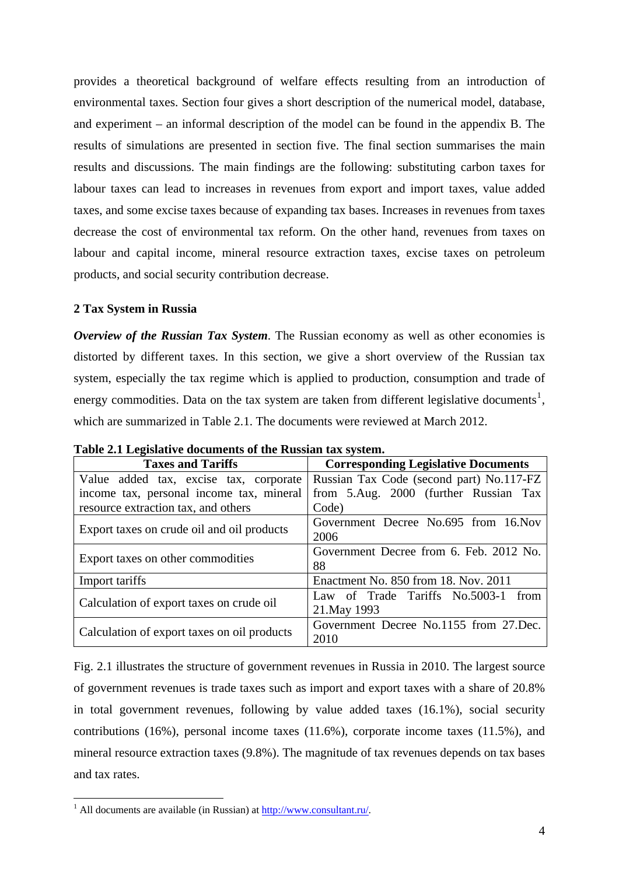provides a theoretical background of welfare effects resulting from an introduction of environmental taxes. Section four gives a short description of the numerical model, database, and experiment – an informal description of the model can be found in the appendix B. The results of simulations are presented in section five. The final section summarises the main results and discussions. The main findings are the following: substituting carbon taxes for labour taxes can lead to increases in revenues from export and import taxes, value added taxes, and some excise taxes because of expanding tax bases. Increases in revenues from taxes decrease the cost of environmental tax reform. On the other hand, revenues from taxes on labour and capital income, mineral resource extraction taxes, excise taxes on petroleum products, and social security contribution decrease.

## <span id="page-3-0"></span>**2 Tax System in Russia**

*Overview of the Russian Tax System.* The Russian economy as well as other economies is distorted by different taxes. In this section, we give a short overview of the Russian tax system, especially the tax regime which is applied to production, consumption and trade of energy commodities. Data on the tax system are taken from different legislative documents<sup>[1](#page-3-1)</sup>, which are summarized in Table 2.1. The documents were reviewed at March 2012.

| <b>Taxes and Tariffs</b>                    | <b>Corresponding Legislative Documents</b> |  |  |
|---------------------------------------------|--------------------------------------------|--|--|
| Value added tax, excise tax, corporate      | Russian Tax Code (second part) No.117-FZ   |  |  |
| income tax, personal income tax, mineral    | from 5.Aug. 2000 (further Russian Tax      |  |  |
| resource extraction tax, and others         | Code)                                      |  |  |
| Export taxes on crude oil and oil products  | Government Decree No.695 from 16. Nov      |  |  |
|                                             | 2006                                       |  |  |
|                                             | Government Decree from 6. Feb. 2012 No.    |  |  |
| Export taxes on other commodities           | 88                                         |  |  |
| Import tariffs                              | Enactment No. 850 from 18. Nov. 2011       |  |  |
|                                             | Law of Trade Tariffs No.5003-1 from        |  |  |
| Calculation of export taxes on crude oil    | 21. May 1993                               |  |  |
|                                             | Government Decree No.1155 from 27.Dec.     |  |  |
| Calculation of export taxes on oil products | 2010                                       |  |  |

**Table 2.1 Legislative documents of the Russian tax system.** 

Fig. 2.1 illustrates the structure of government revenues in Russia in 2010. The largest source of government revenues is trade taxes such as import and export taxes with a share of 20.8% in total government revenues, following by value added taxes (16.1%), social security contributions (16%), personal income taxes (11.6%), corporate income taxes (11.5%), and mineral resource extraction taxes (9.8%). The magnitude of tax revenues depends on tax bases and tax rates.

1

<span id="page-3-1"></span><sup>&</sup>lt;sup>1</sup> All documents are available (in Russian) at  $\frac{http://www.consultan.ru/}{http://www.consultan.ru/}.$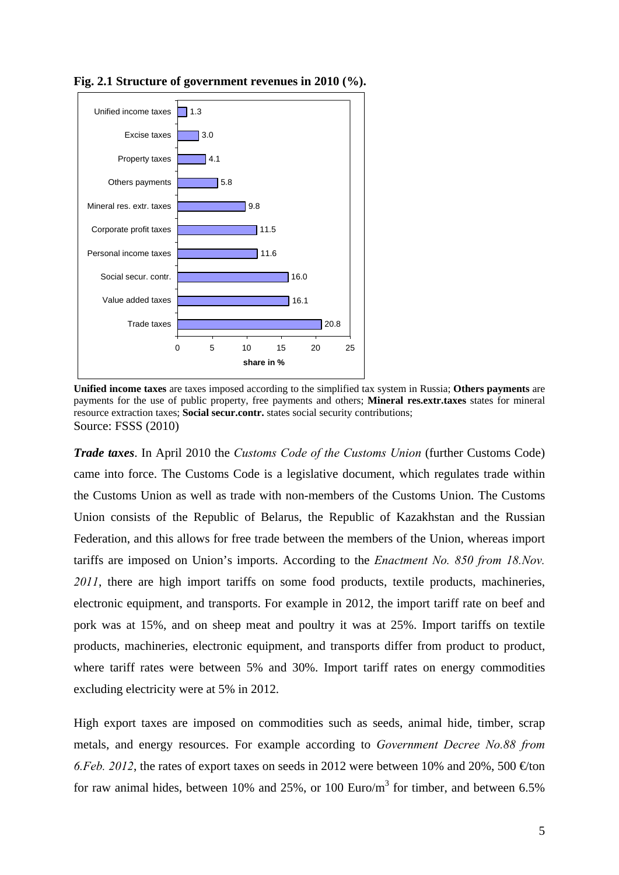

**Fig. 2.1 Structure of government revenues in 2010 (%).** 

**Unified income taxes** are taxes imposed according to the simplified tax system in Russia; **Others payments** are payments for the use of public property, free payments and others; **Mineral res.extr.taxes** states for mineral resource extraction taxes; **Social secur.contr.** states social security contributions; Source: FSSS (2010)

*Trade taxes*. In April 2010 the *Customs Code of the Customs Union* (further Customs Code) came into force. The Customs Code is a legislative document, which regulates trade within the Customs Union as well as trade with non-members of the Customs Union. The Customs Union consists of the Republic of Belarus, the Republic of Kazakhstan and the Russian Federation, and this allows for free trade between the members of the Union, whereas import tariffs are imposed on Union's imports. According to the *Enactment No. 850 from 18.Nov.*  2011, there are high import tariffs on some food products, textile products, machineries, electronic equipment, and transports. For example in 2012, the import tariff rate on beef and pork was at 15%, and on sheep meat and poultry it was at 25%. Import tariffs on textile products, machineries, electronic equipment, and transports differ from product to product, where tariff rates were between 5% and 30%. Import tariff rates on energy commodities excluding electricity were at 5% in 2012.

High export taxes are imposed on commodities such as seeds, animal hide, timber, scrap metals, and energy resources. For example according to *Government Decree No.88 from 6.Feb. 2012*, the rates of export taxes on seeds in 2012 were between 10% and 20%, 500  $\oplus$  ton for raw animal hides, between 10% and 25%, or 100 Euro/m<sup>3</sup> for timber, and between 6.5%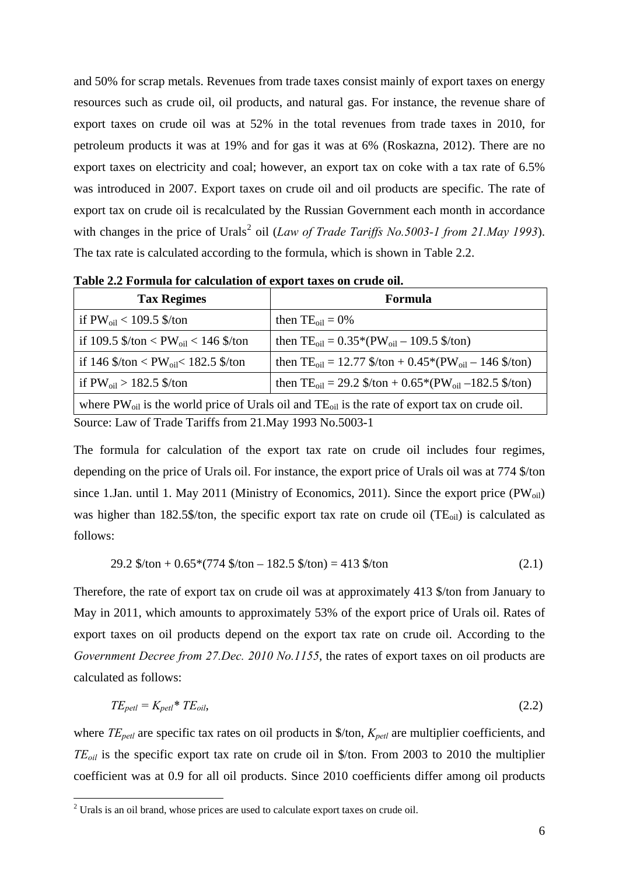and 50% for scrap metals. Revenues from trade taxes consist mainly of export taxes on energy resources such as crude oil, oil products, and natural gas. For instance, the revenue share of export taxes on crude oil was at 52% in the total revenues from trade taxes in 2010, for petroleum products it was at 19% and for gas it was at 6% (Roskazna, 2012). There are no export taxes on electricity and coal; however, an export tax on coke with a tax rate of 6.5% was introduced in 2007. Export taxes on crude oil and oil products are specific. The rate of export tax on crude oil is recalculated by the Russian Government each month in accordance with changes in the price of Urals<sup>[2](#page-5-0)</sup> oil (*Law of Trade Tariffs No.5003-1 from 21.May 1993*). The tax rate is calculated according to the formula, which is shown in Table 2.2.

| <b>Tax Regimes</b>                                                                                                                                 | Formula                                                                       |  |  |
|----------------------------------------------------------------------------------------------------------------------------------------------------|-------------------------------------------------------------------------------|--|--|
| if $PW_{oil}$ < 109.5 \$/ton                                                                                                                       | then $TE_{\text{oil}} = 0\%$                                                  |  |  |
| if 109.5 $\frac{\text{St}}{\text{ton}} < \text{PW}_{\text{oil}} < 146 \frac{\text{St}}{\text{ton}}$                                                | then $TE_{oil} = 0.35*(PW_{oil} - 109.5)(ton)$                                |  |  |
| if 146 $\frac{\log \epsilon}{\log \epsilon}$ /ton < PW <sub>oil</sub> < 182.5 $\frac{\epsilon}{\log \epsilon}$                                     | then $TE_{\text{oil}} = 12.77$ \$/ton + 0.45*(PW <sub>oil</sub> – 146 \$/ton) |  |  |
| if $PW_{oil} > 182.5$ \$/ton<br>then TE <sub>oil</sub> = 29.2 $\frac{1}{2}$ /ton + 0.65 <sup>*</sup> (PW <sub>oil</sub> -182.5 $\frac{1}{2}$ /ton) |                                                                               |  |  |
| where $PW_{oil}$ is the world price of Urals oil and $TE_{oil}$ is the rate of export tax on crude oil.                                            |                                                                               |  |  |
| Source: Law of Trade Tariffs from 21. May 1993 No. 5003-1                                                                                          |                                                                               |  |  |

**Table 2.2 Formula for calculation of export taxes on crude oil.** 

The formula for calculation of the export tax rate on crude oil includes four regimes, depending on the price of Urals oil. For instance, the export price of Urals oil was at 774 \$/ton since 1.Jan. until 1. May 2011 (Ministry of Economics, 2011). Since the export price  $(PW_{oil})$ was higher than 182.5\$/ton, the specific export tax rate on crude oil  $(TE_{oil})$  is calculated as follows:

29.2 \$/ton + 0.65\*(774 \$/ton – 182.5 \$/ton) = 413 \$/ton (2.1)

Therefore, the rate of export tax on crude oil was at approximately 413 \$/ton from January to May in 2011, which amounts to approximately 53% of the export price of Urals oil. Rates of export taxes on oil products depend on the export tax rate on crude oil. According to the *Government Decree from 27.Dec. 2010 No.1155*, the rates of export taxes on oil products are calculated as follows:

$$
TE_{petl} = K_{petl} * TE_{oil},\tag{2.2}
$$

where *TE<sub>petl</sub>* are specific tax rates on oil products in \$/ton,  $K_{petl}$  are multiplier coefficients, and *TEoil* is the specific export tax rate on crude oil in \$/ton. From 2003 to 2010 the multiplier coefficient was at 0.9 for all oil products. Since 2010 coefficients differ among oil products

1

<span id="page-5-0"></span> $2$  Urals is an oil brand, whose prices are used to calculate export taxes on crude oil.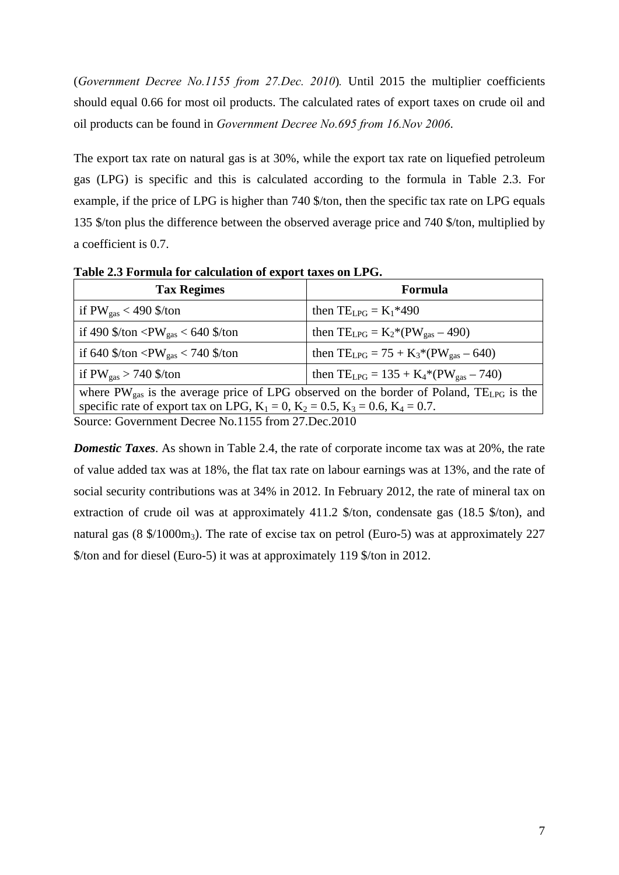(*Government Decree No.1155 from 27.Dec. 2010*)*.* Until 2015 the multiplier coefficients should equal 0.66 for most oil products. The calculated rates of export taxes on crude oil and oil products can be found in *Government Decree No.695 from 16.Nov 2006*.

The export tax rate on natural gas is at 30%, while the export tax rate on liquefied petroleum gas (LPG) is specific and this is calculated according to the formula in Table 2.3. For example, if the price of LPG is higher than 740 \$/ton, then the specific tax rate on LPG equals 135 \$/ton plus the difference between the observed average price and 740 \$/ton, multiplied by a coefficient is 0.7.

| Table 2.5 Formula for calculation of export taxes on ETG.                                                       |                                                |  |  |
|-----------------------------------------------------------------------------------------------------------------|------------------------------------------------|--|--|
| <b>Tax Regimes</b>                                                                                              | Formula                                        |  |  |
| if $PW_{gas}$ < 490 \$/ton                                                                                      | then $TE_{LPG} = K_1*490$                      |  |  |
| if 490 $\frac{\text{St}}{\text{cm}}$ <pw<sub>gas &lt; 640 <math>\frac{\text{St}}{\text{cm}}</math></pw<sub>     | then $TE_{LPG} = K_2*(PW_{gas} - 490)$         |  |  |
| if 640 $\frac{\text{Ston}}{\text{cm}}$ <pw<sub>gas &lt; 740 <math>\frac{\text{Ston}}{\text{cm}}</math></pw<sub> | then $TE_{LPG} = 75 + K_3 * (PW_{gas} - 640)$  |  |  |
| if $PW_{gas} > 740$ \$/ton                                                                                      | then $TE_{LPG} = 135 + K_4 * (PW_{gas} - 740)$ |  |  |
| where $PW_{gas}$ is the average price of LPG observed on the border of Poland, $TE_{LPG}$ is the                |                                                |  |  |
| specific rate of export tax on LPG, $K_1 = 0$ , $K_2 = 0.5$ , $K_3 = 0.6$ , $K_4 = 0.7$ .                       |                                                |  |  |
| Source: Government Decree No.1155 from 27.Dec.2010                                                              |                                                |  |  |

**Table 2.3 Formula for calculation of export taxes on LPG.** 

*Domestic Taxes*. As shown in Table 2.4, the rate of corporate income tax was at 20%, the rate of value added tax was at 18%, the flat tax rate on labour earnings was at 13%, and the rate of social security contributions was at 34% in 2012. In February 2012, the rate of mineral tax on extraction of crude oil was at approximately 411.2 \$/ton, condensate gas (18.5 \$/ton), and natural gas (8  $\frac{\pi}{3}$ /1000m<sub>3</sub>). The rate of excise tax on petrol (Euro-5) was at approximately 227 \$/ton and for diesel (Euro-5) it was at approximately 119 \$/ton in 2012.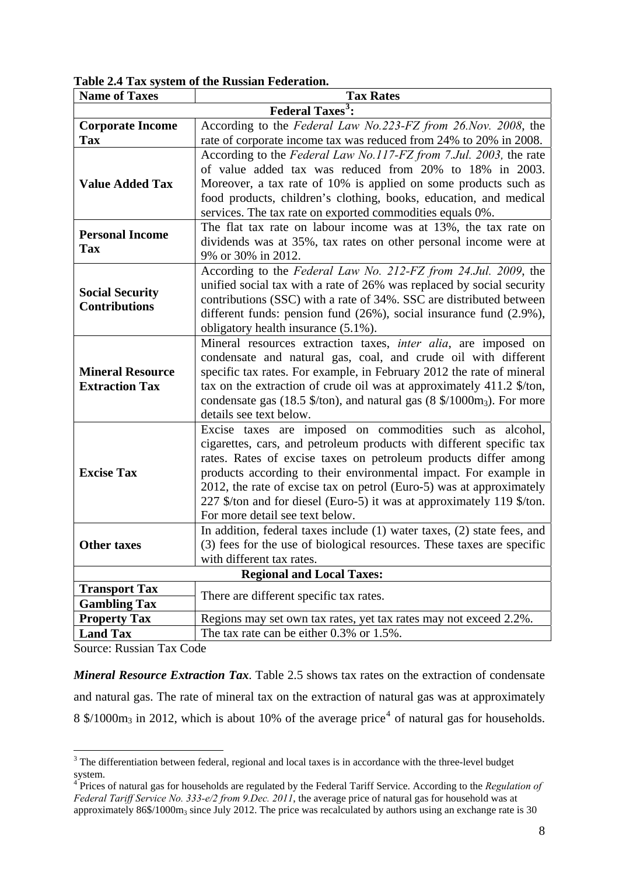**Table 2.4 Tax system of the Russian Federation.** 

| <b>Name of Taxes</b>    | <b>Tax Rates</b>                                                                                                                 |  |  |
|-------------------------|----------------------------------------------------------------------------------------------------------------------------------|--|--|
|                         | <b>Federal Taxes<sup>3</sup>:</b>                                                                                                |  |  |
| <b>Corporate Income</b> | According to the Federal Law No.223-FZ from 26.Nov. 2008, the                                                                    |  |  |
| Tax                     | rate of corporate income tax was reduced from 24% to 20% in 2008.                                                                |  |  |
|                         | According to the Federal Law No.117-FZ from 7.Jul. 2003, the rate                                                                |  |  |
|                         | of value added tax was reduced from 20% to 18% in 2003.                                                                          |  |  |
| <b>Value Added Tax</b>  | Moreover, a tax rate of 10% is applied on some products such as                                                                  |  |  |
|                         | food products, children's clothing, books, education, and medical                                                                |  |  |
|                         | services. The tax rate on exported commodities equals 0%.                                                                        |  |  |
| <b>Personal Income</b>  | The flat tax rate on labour income was at 13%, the tax rate on                                                                   |  |  |
| <b>Tax</b>              | dividends was at 35%, tax rates on other personal income were at                                                                 |  |  |
|                         | 9% or 30% in 2012.                                                                                                               |  |  |
|                         | According to the Federal Law No. 212-FZ from 24.Jul. 2009, the                                                                   |  |  |
| <b>Social Security</b>  | unified social tax with a rate of 26% was replaced by social security                                                            |  |  |
| <b>Contributions</b>    | contributions (SSC) with a rate of 34%. SSC are distributed between                                                              |  |  |
|                         | different funds: pension fund (26%), social insurance fund (2.9%),                                                               |  |  |
|                         | obligatory health insurance (5.1%).                                                                                              |  |  |
|                         | Mineral resources extraction taxes, inter alia, are imposed on<br>condensate and natural gas, coal, and crude oil with different |  |  |
| <b>Mineral Resource</b> | specific tax rates. For example, in February 2012 the rate of mineral                                                            |  |  |
| <b>Extraction Tax</b>   | tax on the extraction of crude oil was at approximately 411.2 \$/ton,                                                            |  |  |
|                         | condensate gas (18.5 \$/ton), and natural gas (8 \$/1000m <sub>3</sub> ). For more                                               |  |  |
|                         | details see text below.                                                                                                          |  |  |
|                         | Excise taxes are imposed on commodities such as alcohol,                                                                         |  |  |
|                         | cigarettes, cars, and petroleum products with different specific tax                                                             |  |  |
|                         | rates. Rates of excise taxes on petroleum products differ among                                                                  |  |  |
| <b>Excise Tax</b>       | products according to their environmental impact. For example in                                                                 |  |  |
|                         | 2012, the rate of excise tax on petrol (Euro-5) was at approximately                                                             |  |  |
|                         | 227 \$/ton and for diesel (Euro-5) it was at approximately 119 \$/ton.                                                           |  |  |
|                         | For more detail see text below.                                                                                                  |  |  |
|                         | In addition, federal taxes include $(1)$ water taxes, $(2)$ state fees, and                                                      |  |  |
| <b>Other taxes</b>      | (3) fees for the use of biological resources. These taxes are specific                                                           |  |  |
|                         | with different tax rates.                                                                                                        |  |  |
|                         | <b>Regional and Local Taxes:</b>                                                                                                 |  |  |
| <b>Transport Tax</b>    | There are different specific tax rates.                                                                                          |  |  |
| <b>Gambling Tax</b>     |                                                                                                                                  |  |  |
| <b>Property Tax</b>     | Regions may set own tax rates, yet tax rates may not exceed 2.2%.                                                                |  |  |
| <b>Land Tax</b>         | The tax rate can be either $0.3\%$ or $1.5\%$ .                                                                                  |  |  |

Source: Russian Tax Code

*Mineral Resource Extraction Tax*. Table 2.5 shows tax rates on the extraction of condensate and natural gas. The rate of mineral tax on the extraction of natural gas was at approximately  $8\frac{\text{N}}{1000\text{m}_3}$  in 2012, which is about 10% of the average price<sup>[4](#page-7-1)</sup> of natural gas for households.

<span id="page-7-0"></span><sup>&</sup>lt;sup>3</sup> The differentiation between federal, regional and local taxes is in accordance with the three-level budget system. 4 Prices of natural gas for households are regulated by the Federal Tariff Service. According to the *Regulation of* 

<span id="page-7-1"></span>*Federal Tariff Service No. 333-e/2 from 9.Dec. 2011*, the average price of natural gas for household was at approximately 86\$/1000m<sub>3</sub> since July 2012. The price was recalculated by authors using an exchange rate is 30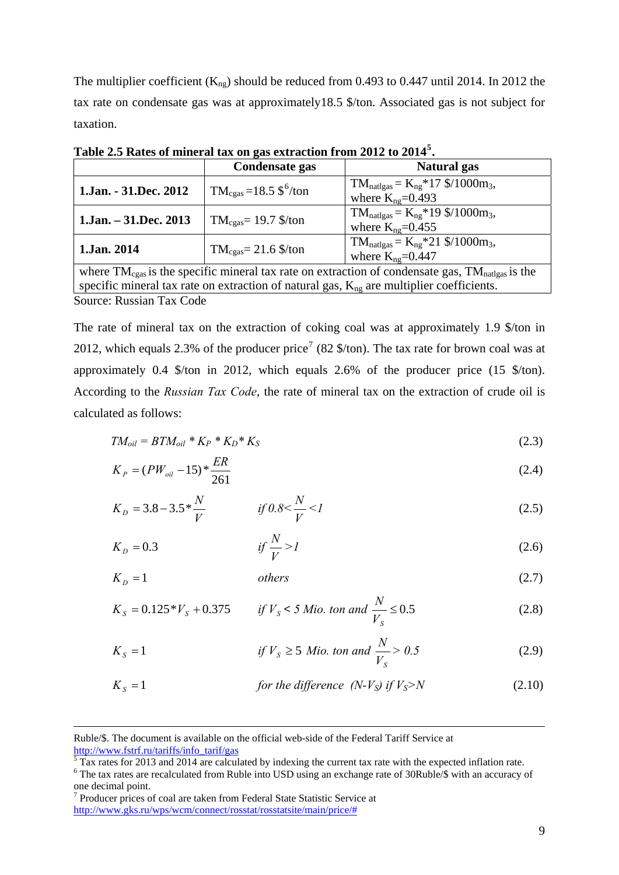The multiplier coefficient  $(K_{\text{ng}})$  should be reduced from 0.493 to 0.447 until 2014. In 2012 the tax rate on condensate gas was at approximately18.5 \$/ton. Associated gas is not subject for taxation.

| Table 2.5 Rates of mineral tax on gas extraction from 2012 to 2014 <sup>5</sup> .                                       |                                                 |                                                                    |  |
|-------------------------------------------------------------------------------------------------------------------------|-------------------------------------------------|--------------------------------------------------------------------|--|
|                                                                                                                         | Condensate gas<br>Natural gas                   |                                                                    |  |
| 1.Jan. - 31.Dec. 2012                                                                                                   | $TM_{\text{ceas}} = 18.5 \text{ }^6/\text{ton}$ | $TM_{\text{natlgas}} = K_{\text{ng}} * 17 \frac{1000 \text{m}}{3}$ |  |
|                                                                                                                         |                                                 | where $K_{\text{ng}}=0.493$                                        |  |
| $1$ .Jan. $-31$ .Dec. 2013                                                                                              | $TM_{\text{ceas}} = 19.7$ \$/ton                | $TM_{natlgas} = K_{ng} * 19 \frac{1000m_3}{1000m_3}$               |  |
|                                                                                                                         |                                                 | where $K_{\text{ng}}=0.455$                                        |  |
| $TM_{\text{natlgas}} = K_{\text{ng}} \cdot 21 \frac{1000 \text{m}}{3}$                                                  |                                                 |                                                                    |  |
| 1.Jan. 2014                                                                                                             | $TM_{\text{ceas}} = 21.6$ \$/ton                | where $K_{\text{ng}}=0.447$                                        |  |
| where $TM_{\text{cgas}}$ is the specific mineral tax rate on extraction of condensate gas, $TM_{\text{nattgas}}$ is the |                                                 |                                                                    |  |
| specific mineral tax rate on extraction of natural gas, $K_{ng}$ are multiplier coefficients.                           |                                                 |                                                                    |  |

**Table 2.5 Rates of mineral tax on gas extraction from 2012 to 2014[5](#page-8-0)**

Source: Russian Tax Code

The rate of mineral tax on the extraction of coking coal was at approximately 1.9 \$/ton in 2012, which equals 2.3% of the producer price<sup>[7](#page-8-2)</sup> (82  $\frac{1}{2}$ ) The tax rate for brown coal was at approximately 0.4 \$/ton in 2012, which equals 2.6% of the producer price (15 \$/ton). According to the *Russian Tax Code*, the rate of mineral tax on the extraction of crude oil is calculated as follows:

$$
TM_{oil} = BTM_{oil} * K_P * K_D * K_S \tag{2.3}
$$

$$
K_P = (PW_{oil} - 15) * \frac{ER}{261}
$$
\n(2.4)

$$
K_D = 3.8 - 3.5 * \frac{N}{V} \qquad \qquad \text{if } 0.8 < \frac{N}{V} < I \tag{2.5}
$$

 3.0*if K <sup>D</sup> <sup>V</sup> <sup>N</sup> >1*(2.6)

 $K<sub>D</sub> = 1$  others (2.7)

$$
K_{s} = 0.125 \, \text{*} \, V_{s} + 0.375 \qquad \text{if } V_{s} < 5 \text{ Mio. ton and } \frac{N}{V_{s}} \leq 0.5 \tag{2.8}
$$

$$
K_s = 1
$$
 if  $V_s \ge 5$  *Mio. ton and*  $\frac{N}{V_s} > 0.5$  (2.9)

$$
K_{S} = 1
$$
 for the difference (N-V<sub>S</sub>) if V<sub>S</sub>>N (2.10)

1

Ruble/\$. The document is available on the official web-side of the Federal Tariff Service at [http://www.fstrf.ru/tariffs/info\\_tarif/gas 5](http://www.fstrf.ru/tariffs/info_tarif/gas)

<span id="page-8-0"></span> $\frac{1}{5}$ Tax rates for 2013 and 2014 are calculated by indexing the current tax rate with the expected inflation rate. <sup>6</sup> The tax rates are recalculated from Ruble into USD using an exchange rate of 30Ruble/\$ with an accuracy of

<span id="page-8-2"></span><span id="page-8-1"></span>one decimal point.<br><sup>7</sup> Producer prices of coal are taken from Federal State Statistic Service at [http://www.gks.ru/wps/wcm/connect/rosstat/rosstatsite/main/price/#](http://www.gks.ru/wps/wcm/connect/rosstat/rosstatsite/main/price/)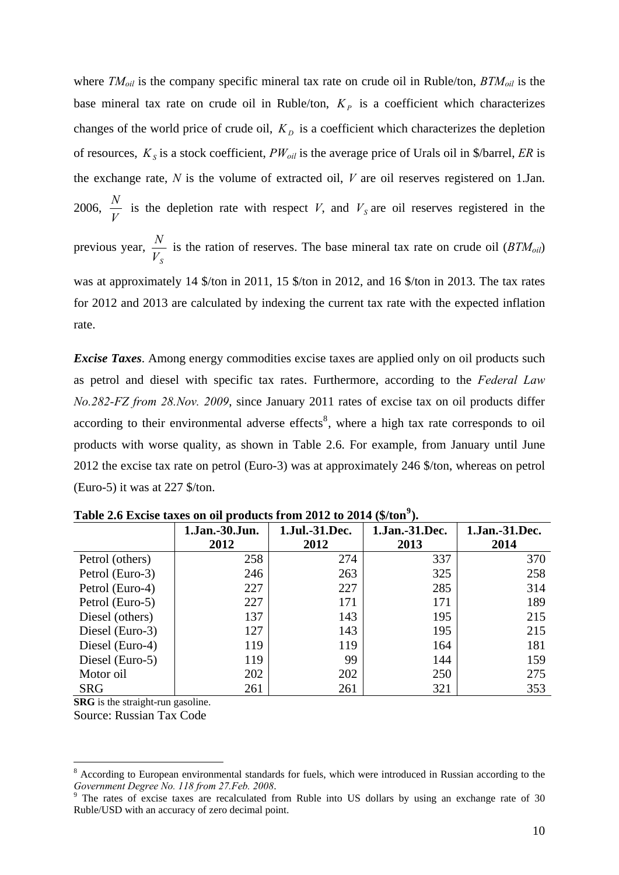where  $TM_{oil}$  is the company specific mineral tax rate on crude oil in Ruble/ton,  $BTM_{oil}$  is the base mineral tax rate on crude oil in Ruble/ton,  $K_p$  is a coefficient which characterizes changes of the world price of crude oil,  $K<sub>D</sub>$  is a coefficient which characterizes the depletion of resources,  $K_s$  is a stock coefficient,  $PW_{oil}$  is the average price of Urals oil in \$/barrel, *ER* is the exchange rate, *N* is the volume of extracted oil, *V* are oil reserves registered on 1.Jan. 2006, *V*  $\frac{N}{N}$  is the depletion rate with respect *V*, and *V*<sub>s</sub> are oil reserves registered in the previous year,  $\frac{N}{V_s}$  is the ration of reserves. The base mineral tax rate on crude oil (*BTM<sub>oil</sub>*) was at approximately 14 \$/ton in 2011, 15 \$/ton in 2012, and 16 \$/ton in 2013. The tax rates for 2012 and 2013 are calculated by indexing the current tax rate with the expected inflation rate.

*Excise Taxes*. Among energy commodities excise taxes are applied only on oil products such as petrol and diesel with specific tax rates. Furthermore, according to the *Federal Law No.282-FZ from 28.Nov. 2009*, since January 2011 rates of excise tax on oil products differ according to their environmental adverse effects<sup>[8](#page-9-0)</sup>, where a high tax rate corresponds to oil products with worse quality, as shown in Table 2.6. For example, from January until June 2012 the excise tax rate on petrol (Euro-3) was at approximately 246 \$/ton, whereas on petrol (Euro-5) it was at 227 \$/ton.

|                 | 1.Jan.-30.Jun.<br>2012 | 1.Jul.-31.Dec.<br>2012 | 1.Jan.-31.Dec.<br>2013 | 1.Jan.-31.Dec.<br>2014 |
|-----------------|------------------------|------------------------|------------------------|------------------------|
| Petrol (others) | 258                    | 274                    | 337                    | 370                    |
| Petrol (Euro-3) | 246                    | 263                    | 325                    | 258                    |
| Petrol (Euro-4) | 227                    | 227                    | 285                    | 314                    |
| Petrol (Euro-5) | 227                    | 171                    | 171                    | 189                    |
| Diesel (others) | 137                    | 143                    | 195                    | 215                    |
| Diesel (Euro-3) | 127                    | 143                    | 195                    | 215                    |
| Diesel (Euro-4) | 119                    | 119                    | 164                    | 181                    |
| Diesel (Euro-5) | 119                    | 99                     | 144                    | 159                    |
| Motor oil       | 202                    | 202                    | 250                    | 275                    |
| <b>SRG</b>      | 261                    | 261                    | 321                    | 353                    |

**Table 2.6 Excise taxes on oil products from 2012 to 2014 (\$/ton[9](#page-9-1) ).** 

**SRG** is the straight-run gasoline. Source: Russian Tax Code

1

<span id="page-9-0"></span><sup>&</sup>lt;sup>8</sup> According to European environmental standards for fuels, which were introduced in Russian according to the

<span id="page-9-1"></span>*Government Degree No. 118 from 27. Feb. 2008.*<br><sup>9</sup> The rates of excise taxes are recalculated from Ruble into US dollars by using an exchange rate of 30 Ruble/USD with an accuracy of zero decimal point.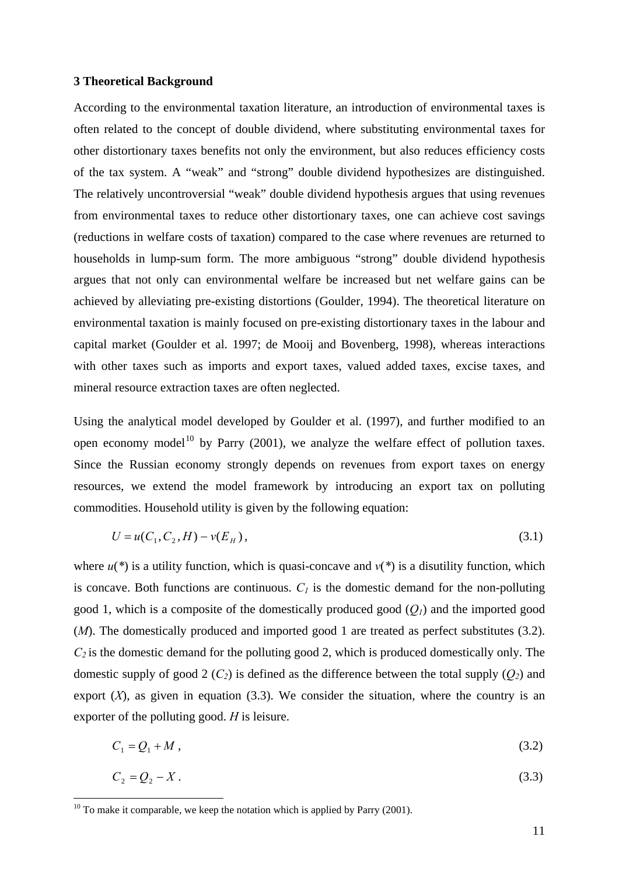### <span id="page-10-0"></span>**3 Theoretical Background**

According to the environmental taxation literature, an introduction of environmental taxes is often related to the concept of double dividend, where substituting environmental taxes for other distortionary taxes benefits not only the environment, but also reduces efficiency costs of the tax system. A "weak" and "strong" double dividend hypothesizes are distinguished. The relatively uncontroversial "weak" double dividend hypothesis argues that using revenues from environmental taxes to reduce other distortionary taxes, one can achieve cost savings (reductions in welfare costs of taxation) compared to the case where revenues are returned to households in lump-sum form. The more ambiguous "strong" double dividend hypothesis argues that not only can environmental welfare be increased but net welfare gains can be achieved by alleviating pre-existing distortions (Goulder, 1994). The theoretical literature on environmental taxation is mainly focused on pre-existing distortionary taxes in the labour and capital market (Goulder et al. 1997; de Mooij and Bovenberg, 1998), whereas interactions with other taxes such as imports and export taxes, valued added taxes, excise taxes, and mineral resource extraction taxes are often neglected.

Using the analytical model developed by Goulder et al. (1997), and further modified to an open economy model<sup>[10](#page-10-1)</sup> by Parry (2001), we analyze the welfare effect of pollution taxes. Since the Russian economy strongly depends on revenues from export taxes on energy resources, we extend the model framework by introducing an export tax on polluting commodities. Household utility is given by the following equation:

$$
U = u(C_1, C_2, H) - v(E_H), \tag{3.1}
$$

where  $u(*)$  is a utility function, which is quasi-concave and  $v(*)$  is a disutility function, which is concave. Both functions are continuous.  $C_l$  is the domestic demand for the non-polluting good 1, which is a composite of the domestically produced good  $(O<sub>l</sub>)$  and the imported good (*M*). The domestically produced and imported good 1 are treated as perfect substitutes (3.2).  $C_2$  is the domestic demand for the polluting good 2, which is produced domestically only. The domestic supply of good 2  $(C_2)$  is defined as the difference between the total supply  $(Q_2)$  and export  $(X)$ , as given in equation  $(3.3)$ . We consider the situation, where the country is an exporter of the polluting good. *H* is leisure.

$$
C_1 = Q_1 + M \tag{3.2}
$$

$$
C_2 = Q_2 - X \tag{3.3}
$$

<span id="page-10-1"></span> $10$  To make it comparable, we keep the notation which is applied by Parry (2001).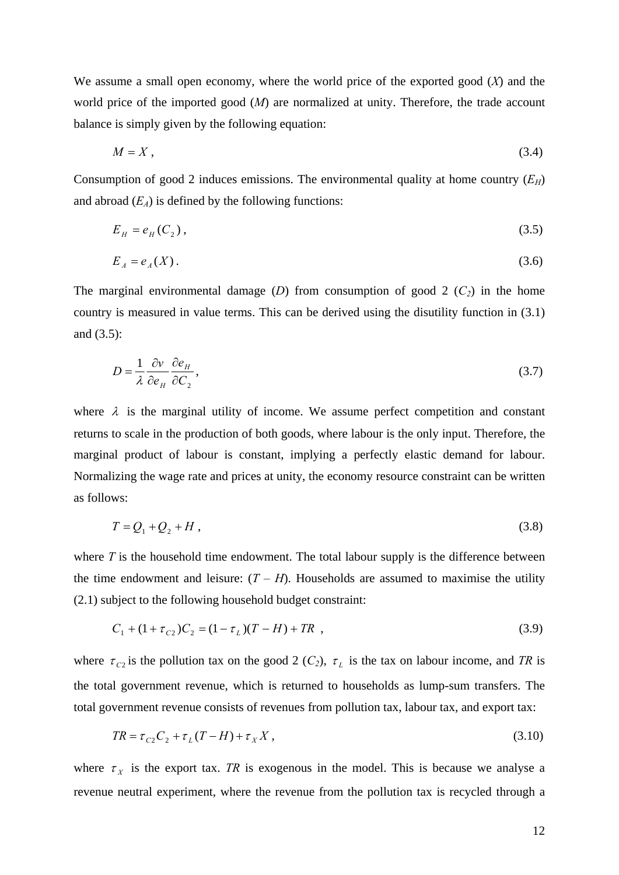We assume a small open economy, where the world price of the exported good (*X*) and the world price of the imported good (*M*) are normalized at unity. Therefore, the trade account balance is simply given by the following equation:

$$
M = X \tag{3.4}
$$

Consumption of good 2 induces emissions. The environmental quality at home country  $(E_H)$ and abroad  $(E_A)$  is defined by the following functions:

$$
E_H = e_H(C_2),\tag{3.5}
$$

$$
E_A = e_A(X). \tag{3.6}
$$

The marginal environmental damage (*D*) from consumption of good 2 ( $C_2$ ) in the home country is measured in value terms. This can be derived using the disutility function in (3.1) and (3.5):

$$
D = \frac{1}{\lambda} \frac{\partial v}{\partial e_H} \frac{\partial e_H}{\partial C_2},\tag{3.7}
$$

where  $\lambda$  is the marginal utility of income. We assume perfect competition and constant returns to scale in the production of both goods, where labour is the only input. Therefore, the marginal product of labour is constant, implying a perfectly elastic demand for labour. Normalizing the wage rate and prices at unity, the economy resource constraint can be written as follows:

$$
T = Q_1 + Q_2 + H \tag{3.8}
$$

where *T* is the household time endowment. The total labour supply is the difference between the time endowment and leisure:  $(T - H)$ . Households are assumed to maximise the utility (2.1) subject to the following household budget constraint:

$$
C_1 + (1 + \tau_{c2})C_2 = (1 - \tau_L)(T - H) + TR \t\t(3.9)
$$

where  $\tau_{C2}$  is the pollution tax on the good 2 (*C<sub>2</sub>*),  $\tau_L$  is the tax on labour income, and *TR* is the total government revenue, which is returned to households as lump-sum transfers. The total government revenue consists of revenues from pollution tax, labour tax, and export tax:

$$
TR = \tau_{C2} C_2 + \tau_L (T - H) + \tau_X X, \qquad (3.10)
$$

where  $\tau_X$  is the export tax. *TR* is exogenous in the model. This is because we analyse a revenue neutral experiment, where the revenue from the pollution tax is recycled through a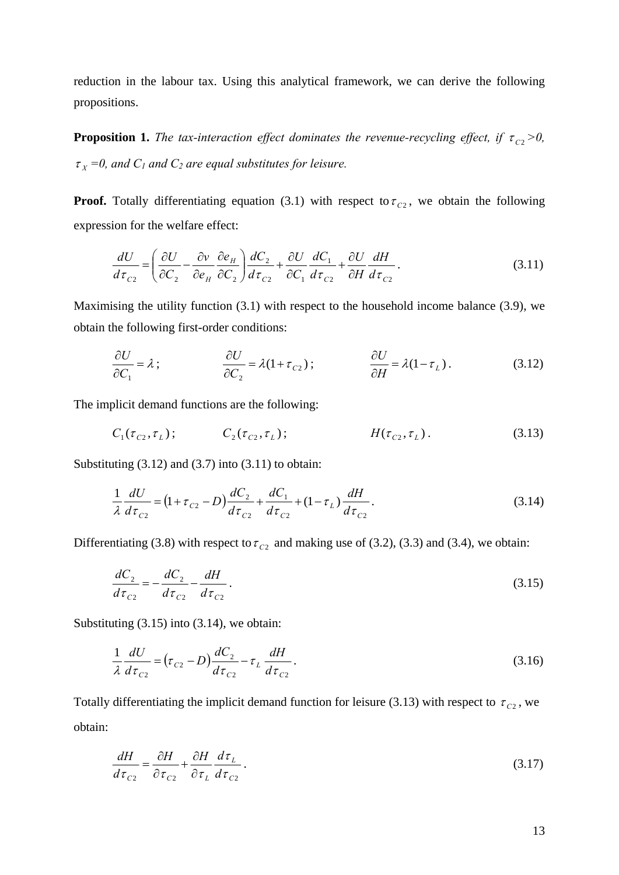reduction in the labour tax. Using this analytical framework, we can derive the following propositions.

**Proposition 1.** *The tax-interaction effect dominates the revenue-recycling effect, if*  $\tau_{C2} > 0$ *,*  $\tau_{\rm x}$  =0, and  $C_1$  and  $C_2$  are equal substitutes for leisure.

**Proof.** Totally differentiating equation (3.1) with respect to  $\tau_{c2}$ , we obtain the following expression for the welfare effect:

$$
\frac{dU}{d\tau_{C2}} = \left(\frac{\partial U}{\partial C_2} - \frac{\partial v}{\partial e_H} \frac{\partial e_H}{\partial C_2}\right) \frac{dC_2}{d\tau_{C2}} + \frac{\partial U}{\partial C_1} \frac{dC_1}{d\tau_{C2}} + \frac{\partial U}{\partial H} \frac{dH}{d\tau_{C2}}.
$$
\n(3.11)

Maximising the utility function (3.1) with respect to the household income balance (3.9), we obtain the following first-order conditions:

$$
\frac{\partial U}{\partial C_1} = \lambda \tag{3.12}
$$
\n
$$
\frac{\partial U}{\partial C_2} = \lambda (1 + \tau_{C2}) \tag{3.12}
$$

The implicit demand functions are the following:

$$
C_1(\tau_{c_2}, \tau_L); \t C_2(\tau_{c_2}, \tau_L); \t H(\tau_{c_2}, \tau_L). \t (3.13)
$$

Substituting  $(3.12)$  and  $(3.7)$  into  $(3.11)$  to obtain:

$$
\frac{1}{\lambda} \frac{dU}{d\tau_{c2}} = (1 + \tau_{c2} - D) \frac{dC_2}{d\tau_{c2}} + \frac{dC_1}{d\tau_{c2}} + (1 - \tau_L) \frac{dH}{d\tau_{c2}}.
$$
\n(3.14)

Differentiating (3.8) with respect to  $\tau_{c2}$  and making use of (3.2), (3.3) and (3.4), we obtain:

$$
\frac{dC_2}{d\tau_{c2}} = -\frac{dC_2}{d\tau_{c2}} - \frac{dH}{d\tau_{c2}}.
$$
\n(3.15)

Substituting (3.15) into (3.14), we obtain:

$$
\frac{1}{\lambda} \frac{dU}{d\tau_{c2}} = (\tau_{c2} - D) \frac{dC_2}{d\tau_{c2}} - \tau_L \frac{dH}{d\tau_{c2}}.
$$
\n(3.16)

Totally differentiating the implicit demand function for leisure (3.13) with respect to  $\tau_{C2}$ , we obtain:

$$
\frac{dH}{d\tau_{c2}} = \frac{\partial H}{\partial \tau_{c2}} + \frac{\partial H}{\partial \tau_L} \frac{d\tau_L}{d\tau_{c2}}.
$$
\n(3.17)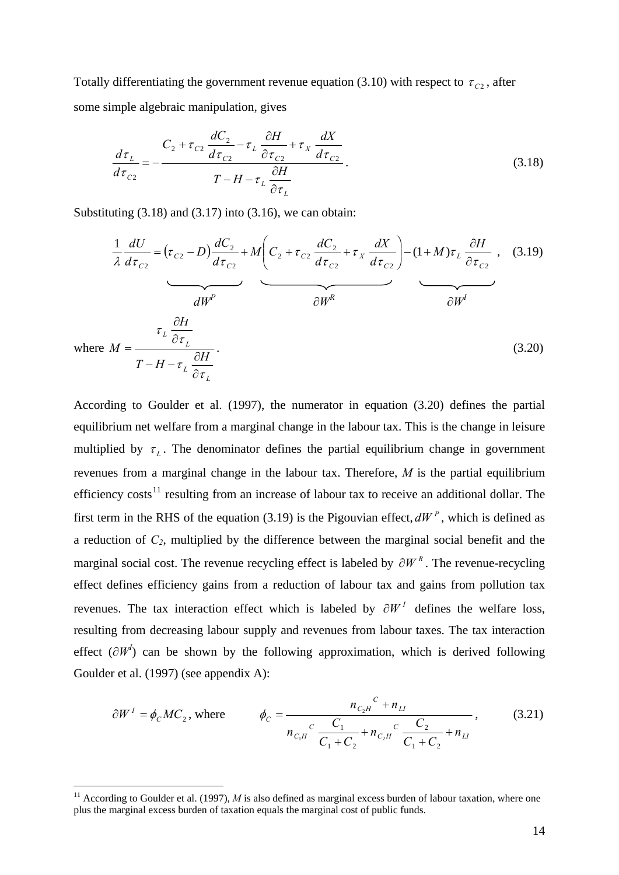Totally differentiating the government revenue equation (3.10) with respect to  $\tau_{C2}$ , after some simple algebraic manipulation, gives

$$
\frac{d\tau_L}{d\tau_{C2}} = -\frac{C_2 + \tau_{C2} \frac{dC_2}{d\tau_{C2}} - \tau_L \frac{\partial H}{\partial \tau_{C2}} + \tau_X \frac{dX}{d\tau_{C2}}}{T - H - \tau_L \frac{\partial H}{\partial \tau_L}}.
$$
\n(3.18)

Substituting  $(3.18)$  and  $(3.17)$  into  $(3.16)$ , we can obtain:

$$
\frac{1}{\lambda} \frac{dU}{d\tau_{c2}} = (\tau_{c2} - D) \frac{dC_2}{d\tau_{c2}} + M \left( C_2 + \tau_{c2} \frac{dC_2}{d\tau_{c2}} + \tau_X \frac{dX}{d\tau_{c2}} \right) - (1 + M)\tau_L \frac{\partial H}{\partial \tau_{c2}}, \quad (3.19)
$$
\n
$$
\frac{dW^P}{dW^P} \qquad \frac{\partial W^R}{dW^I}
$$
\nwhere  $M = \frac{\tau_L \frac{\partial H}{\partial \tau_L}}{T - H - \tau_L \frac{\partial H}{\partial \tau_L}}.$ \n
$$
(3.20)
$$

According to Goulder et al. (1997), the numerator in equation (3.20) defines the partial equilibrium net welfare from a marginal change in the labour tax. This is the change in leisure multiplied by  $\tau_L$ . The denominator defines the partial equilibrium change in government revenues from a marginal change in the labour tax. Therefore, *M* is the partial equilibrium efficiency  $costs<sup>11</sup>$  $costs<sup>11</sup>$  $costs<sup>11</sup>$  resulting from an increase of labour tax to receive an additional dollar. The first term in the RHS of the equation (3.19) is the Pigouvian effect,  $dW^P$ , which is defined as a reduction of *C2*, multiplied by the difference between the marginal social benefit and the marginal social cost. The revenue recycling effect is labeled by  $\partial W^R$ . The revenue-recycling effect defines efficiency gains from a reduction of labour tax and gains from pollution tax revenues. The tax interaction effect which is labeled by  $\partial W^I$  defines the welfare loss, resulting from decreasing labour supply and revenues from labour taxes. The tax interaction effect  $(\partial W^I)$  can be shown by the following approximation, which is derived following Goulder et al. (1997) (see appendix A):

$$
\partial W^{I} = \phi_{C} M C_{2}, \text{ where } \phi_{C} = \frac{n_{C_{2}H}^{C} + n_{LI}}{n_{C_{1}H}^{C} \frac{C_{1}}{C_{1} + C_{2}} + n_{C_{2}H}^{C} \frac{C_{2}}{C_{1} + C_{2}} + n_{LI}}
$$
\n(3.21)

1

<span id="page-13-0"></span><sup>&</sup>lt;sup>11</sup> According to Goulder et al. (1997),  $M$  is also defined as marginal excess burden of labour taxation, where one plus the marginal excess burden of taxation equals the marginal cost of public funds.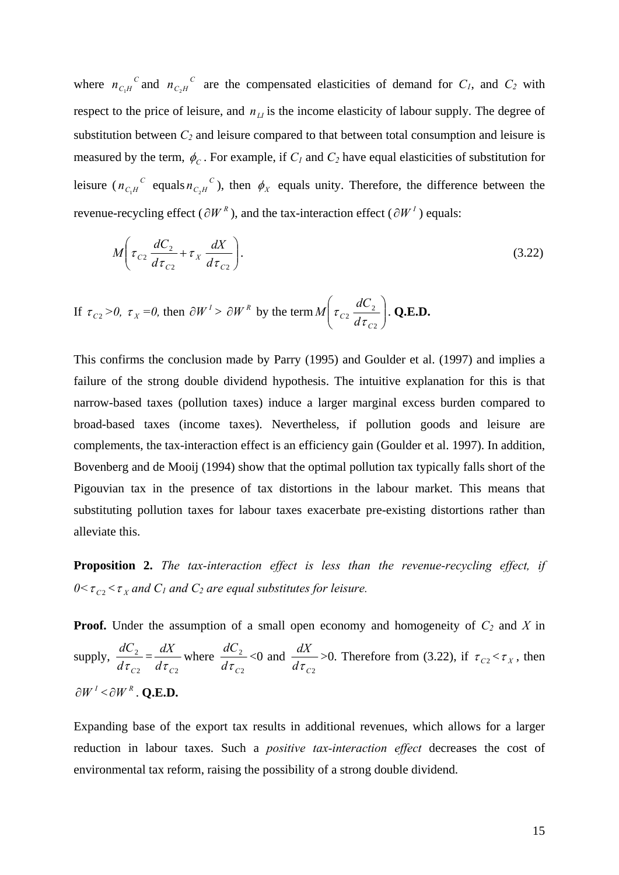where  $n_{C_1H}^C$  and  $n_{C_2H}^C$  are the compensated elasticities of demand for  $C_1$ , and  $C_2$  with respect to the price of leisure, and  $n_{\text{L}I}$  is the income elasticity of labour supply. The degree of substitution between  $C_2$  and leisure compared to that between total consumption and leisure is measured by the term,  $\phi_c$ . For example, if  $C_l$  and  $C_2$  have equal elasticities of substitution for leisure  $(n_{C<sub>1</sub>H}^C$  equals  $n_{C<sub>2</sub>H}^C$ ), then  $\phi_X$  equals unity. Therefore, the difference between the revenue-recycling effect ( $\partial W^R$ ), and the tax-interaction effect ( $\partial W^I$ ) equals:

$$
M\left(\tau_{C2}\frac{dC_2}{d\tau_{C2}} + \tau_X \frac{dX}{d\tau_{C2}}\right).
$$
\n(3.22)

If 
$$
\tau_{C2} > 0
$$
,  $\tau_X = 0$ , then  $\partial W^1 > \partial W^R$  by the term  $M\left(\tau_{C2} \frac{dC_2}{d\tau_{C2}}\right)$ . Q.E.D.

This confirms the conclusion made by Parry (1995) and Goulder et al. (1997) and implies a failure of the strong double dividend hypothesis. The intuitive explanation for this is that narrow-based taxes (pollution taxes) induce a larger marginal excess burden compared to broad-based taxes (income taxes). Nevertheless, if pollution goods and leisure are complements, the tax-interaction effect is an efficiency gain (Goulder et al. 1997). In addition, Bovenberg and de Mooij (1994) show that the optimal pollution tax typically falls short of the Pigouvian tax in the presence of tax distortions in the labour market. This means that substituting pollution taxes for labour taxes exacerbate pre-existing distortions rather than alleviate this.

**Proposition 2.** *The tax-interaction effect is less than the revenue-recycling effect, if*   $0 < \tau_{c2} < \tau_X$  and  $C_1$  and  $C_2$  are equal substitutes for leisure.

**Proof.** Under the assumption of a small open economy and homogeneity of  $C_2$  and X in supply, 2 2  $\frac{dC_2}{d\tau_{C2}} = \frac{dX}{d\tau_{C2}}$  where 2 2  $d\tau_c$  $\frac{dC_2}{dt}$  <0 and  $d\tau_{_{C2}}$  $\frac{dX}{dt}$  >0. Therefore from (3.22), if  $\tau_{C2} < \tau_X$ , then  $\partial W^{I} < \partial W^{R}$ . **O.E.D.** 

Expanding base of the export tax results in additional revenues, which allows for a larger reduction in labour taxes. Such a *positive tax-interaction effect* decreases the cost of environmental tax reform, raising the possibility of a strong double dividend.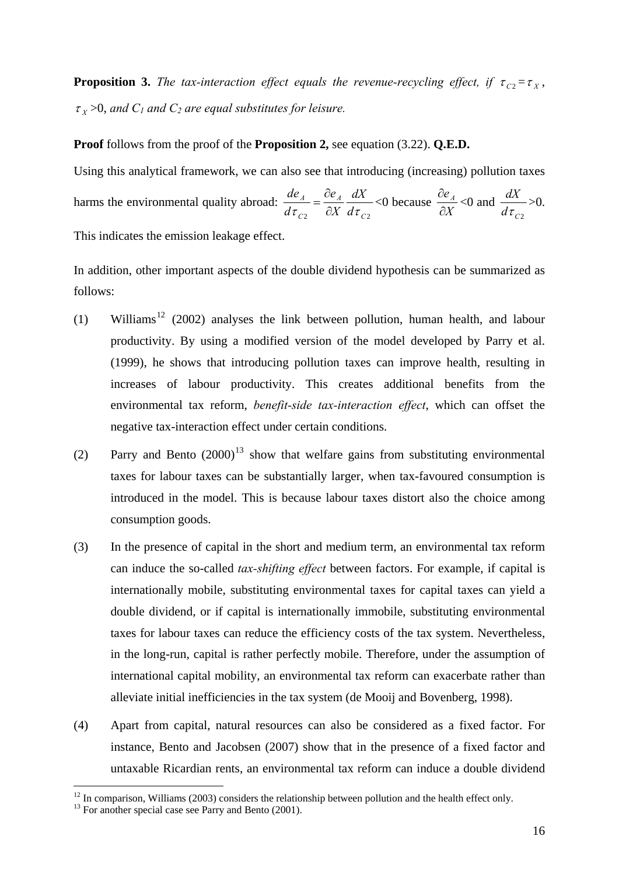**Proposition 3.** *The tax-interaction effect equals the revenue-recycling effect, if*  $\tau_{C2} = \tau_{X}$ ,  $\tau$ <sub>x</sub> >0, and  $C_1$  and  $C_2$  are equal substitutes for leisure.

## **Proof** follows from the proof of the **Proposition 2,** see equation (3.22). **Q.E.D.**

Using this analytical framework, we can also see that introducing (increasing) pollution taxes harms the environmental quality abroad: 2  $\mathcal{C}$ <sup>2</sup>  $\mathcal{C}$ <sup>2</sup>  $\mathcal{C}$ <sup>2</sup> *A C A d dX*  $d\tau_{C2}$   $\partial X \, d\tau$  $\frac{de_A}{\sqrt{e_A}} = \frac{\partial e_A}{\partial x} \frac{dX}{dx} < 0$  because *X*  $\partial e_{A}$  $\hat{o}$  $<0$  and  $d\tau_{C2}$  $\frac{dX}{dx}$  >0. This indicates the emission leakage effect.

In addition, other important aspects of the double dividend hypothesis can be summarized as follows:

- (1) Williams<sup>[12](#page-15-0)</sup> (2002) analyses the link between pollution, human health, and labour productivity. By using a modified version of the model developed by Parry et al. (1999), he shows that introducing pollution taxes can improve health, resulting in increases of labour productivity. This creates additional benefits from the environmental tax reform, *benefit-side tax-interaction effect*, which can offset the negative tax-interaction effect under certain conditions.
- (2) Parry and Bento  $(2000)^{13}$  $(2000)^{13}$  $(2000)^{13}$  show that welfare gains from substituting environmental taxes for labour taxes can be substantially larger, when tax-favoured consumption is introduced in the model. This is because labour taxes distort also the choice among consumption goods.
- (3) In the presence of capital in the short and medium term, an environmental tax reform can induce the so-called *tax-shifting effect* between factors. For example, if capital is internationally mobile, substituting environmental taxes for capital taxes can yield a double dividend, or if capital is internationally immobile, substituting environmental taxes for labour taxes can reduce the efficiency costs of the tax system. Nevertheless, in the long-run, capital is rather perfectly mobile. Therefore, under the assumption of international capital mobility, an environmental tax reform can exacerbate rather than alleviate initial inefficiencies in the tax system (de Mooij and Bovenberg, 1998).
- (4) Apart from capital, natural resources can also be considered as a fixed factor. For instance, Bento and Jacobsen (2007) show that in the presence of a fixed factor and untaxable Ricardian rents, an environmental tax reform can induce a double dividend

1

<span id="page-15-0"></span><sup>&</sup>lt;sup>12</sup> In comparison, Williams (2003) considers the relationship between pollution and the health effect only.<br><sup>13</sup> For another special case see Parry and Bento (2001).

<span id="page-15-1"></span>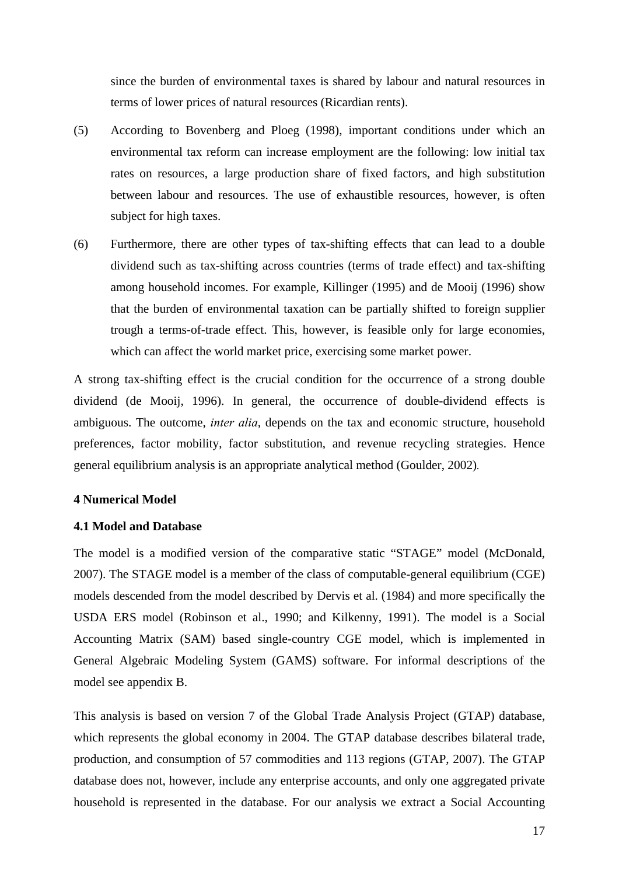since the burden of environmental taxes is shared by labour and natural resources in terms of lower prices of natural resources (Ricardian rents).

- (5) According to Bovenberg and Ploeg (1998), important conditions under which an environmental tax reform can increase employment are the following: low initial tax rates on resources, a large production share of fixed factors, and high substitution between labour and resources. The use of exhaustible resources, however, is often subject for high taxes.
- (6) Furthermore, there are other types of tax-shifting effects that can lead to a double dividend such as tax-shifting across countries (terms of trade effect) and tax-shifting among household incomes. For example, Killinger (1995) and de Mooij (1996) show that the burden of environmental taxation can be partially shifted to foreign supplier trough a terms-of-trade effect. This, however, is feasible only for large economies, which can affect the world market price, exercising some market power.

A strong tax-shifting effect is the crucial condition for the occurrence of a strong double dividend (de Mooij, 1996). In general, the occurrence of double-dividend effects is ambiguous. The outcome, *inter alia*, depends on the tax and economic structure, household preferences, factor mobility, factor substitution, and revenue recycling strategies. Hence general equilibrium analysis is an appropriate analytical method (Goulder, 2002)*.* 

## <span id="page-16-0"></span>**4 Numerical Model**

## <span id="page-16-1"></span>**4.1 Model and Database**

The model is a modified version of the comparative static "STAGE" model (McDonald, 2007). The STAGE model is a member of the class of computable-general equilibrium (CGE) models descended from the model described by Dervis et al. (1984) and more specifically the USDA ERS model (Robinson et al., 1990; and Kilkenny, 1991). The model is a Social Accounting Matrix (SAM) based single-country CGE model, which is implemented in General Algebraic Modeling System (GAMS) software. For informal descriptions of the model see appendix B.

This analysis is based on version 7 of the Global Trade Analysis Project (GTAP) database, which represents the global economy in 2004. The GTAP database describes bilateral trade, production, and consumption of 57 commodities and 113 regions (GTAP, 2007). The GTAP database does not, however, include any enterprise accounts, and only one aggregated private household is represented in the database. For our analysis we extract a Social Accounting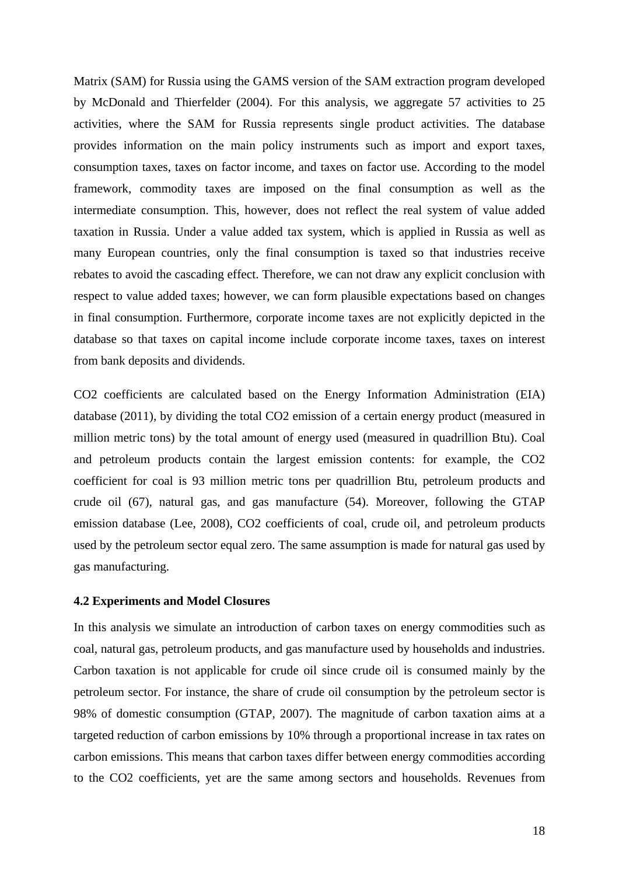Matrix (SAM) for Russia using the GAMS version of the SAM extraction program developed by McDonald and Thierfelder (2004). For this analysis, we aggregate 57 activities to 25 activities, where the SAM for Russia represents single product activities. The database provides information on the main policy instruments such as import and export taxes, consumption taxes, taxes on factor income, and taxes on factor use. According to the model framework, commodity taxes are imposed on the final consumption as well as the intermediate consumption. This, however, does not reflect the real system of value added taxation in Russia. Under a value added tax system, which is applied in Russia as well as many European countries, only the final consumption is taxed so that industries receive rebates to avoid the cascading effect. Therefore, we can not draw any explicit conclusion with respect to value added taxes; however, we can form plausible expectations based on changes in final consumption. Furthermore, corporate income taxes are not explicitly depicted in the database so that taxes on capital income include corporate income taxes, taxes on interest from bank deposits and dividends.

CO2 coefficients are calculated based on the Energy Information Administration (EIA) database (2011), by dividing the total CO2 emission of a certain energy product (measured in million metric tons) by the total amount of energy used (measured in quadrillion Btu). Coal and petroleum products contain the largest emission contents: for example, the CO2 coefficient for coal is 93 million metric tons per quadrillion Btu, petroleum products and crude oil (67), natural gas, and gas manufacture (54). Moreover, following the GTAP emission database (Lee, 2008), CO2 coefficients of coal, crude oil, and petroleum products used by the petroleum sector equal zero. The same assumption is made for natural gas used by gas manufacturing.

## <span id="page-17-0"></span>**4.2 Experiments and Model Closures**

In this analysis we simulate an introduction of carbon taxes on energy commodities such as coal, natural gas, petroleum products, and gas manufacture used by households and industries. Carbon taxation is not applicable for crude oil since crude oil is consumed mainly by the petroleum sector. For instance, the share of crude oil consumption by the petroleum sector is 98% of domestic consumption (GTAP, 2007). The magnitude of carbon taxation aims at a targeted reduction of carbon emissions by 10% through a proportional increase in tax rates on carbon emissions. This means that carbon taxes differ between energy commodities according to the CO2 coefficients, yet are the same among sectors and households. Revenues from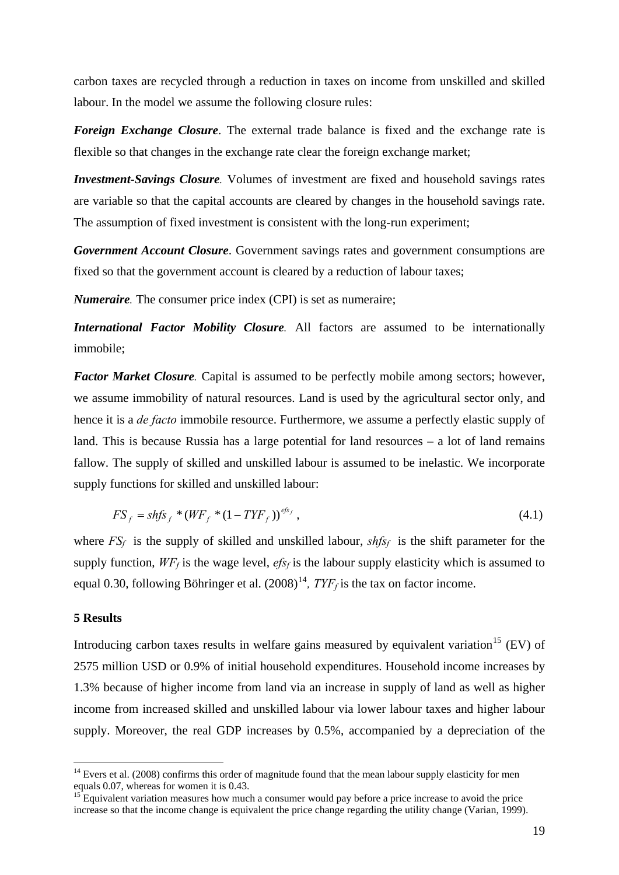carbon taxes are recycled through a reduction in taxes on income from unskilled and skilled labour. In the model we assume the following closure rules:

*Foreign Exchange Closure*. The external trade balance is fixed and the exchange rate is flexible so that changes in the exchange rate clear the foreign exchange market;

*Investment-Savings Closure.* Volumes of investment are fixed and household savings rates are variable so that the capital accounts are cleared by changes in the household savings rate. The assumption of fixed investment is consistent with the long-run experiment;

*Government Account Closure*. Government savings rates and government consumptions are fixed so that the government account is cleared by a reduction of labour taxes;

*Numeraire.* The consumer price index (CPI) is set as numeraire;

*International Factor Mobility Closure*. All factors are assumed to be internationally immobile;

*Factor Market Closure*. Capital is assumed to be perfectly mobile among sectors; however, we assume immobility of natural resources. Land is used by the agricultural sector only, and hence it is a *de facto* immobile resource. Furthermore, we assume a perfectly elastic supply of land. This is because Russia has a large potential for land resources – a lot of land remains fallow. The supply of skilled and unskilled labour is assumed to be inelastic. We incorporate supply functions for skilled and unskilled labour:

$$
FS_f = shfs_f * (WF_f * (1 - TYF_f))^{efs_f},
$$
\n(4.1)

where  $FS_f$  is the supply of skilled and unskilled labour,  $shfs_f$  is the shift parameter for the supply function,  $WF_f$  is the wage level,  $efs_f$  is the labour supply elasticity which is assumed to equal 0.30, following Böhringer et al.  $(2008)^{14}$  $(2008)^{14}$  $(2008)^{14}$ ,  $T Y F_f$  is the tax on factor income.

## <span id="page-18-0"></span>**5 Results**

1

Introducing carbon taxes results in welfare gains measured by equivalent variation<sup>[15](#page-18-2)</sup> (EV) of 2575 million USD or 0.9% of initial household expenditures. Household income increases by 1.3% because of higher income from land via an increase in supply of land as well as higher income from increased skilled and unskilled labour via lower labour taxes and higher labour supply. Moreover, the real GDP increases by 0.5%, accompanied by a depreciation of the

<span id="page-18-1"></span><sup>&</sup>lt;sup>14</sup> Evers et al. (2008) confirms this order of magnitude found that the mean labour supply elasticity for men equals 0.07, whereas for women it is 0.43.

<span id="page-18-2"></span> $15$  Equivalent variation measures how much a consumer would pay before a price increase to avoid the price increase so that the income change is equivalent the price change regarding the utility change (Varian, 1999).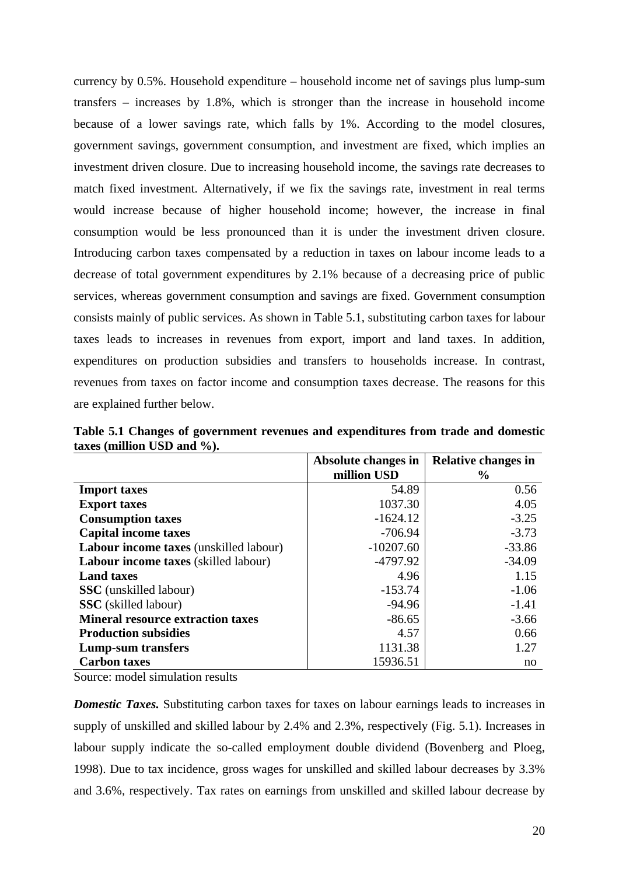currency by 0.5%. Household expenditure – household income net of savings plus lump-sum transfers – increases by 1.8%, which is stronger than the increase in household income because of a lower savings rate, which falls by 1%. According to the model closures, government savings, government consumption, and investment are fixed, which implies an investment driven closure. Due to increasing household income, the savings rate decreases to match fixed investment. Alternatively, if we fix the savings rate, investment in real terms would increase because of higher household income; however, the increase in final consumption would be less pronounced than it is under the investment driven closure. Introducing carbon taxes compensated by a reduction in taxes on labour income leads to a decrease of total government expenditures by 2.1% because of a decreasing price of public services, whereas government consumption and savings are fixed. Government consumption consists mainly of public services. As shown in Table 5.1, substituting carbon taxes for labour taxes leads to increases in revenues from export, import and land taxes. In addition, expenditures on production subsidies and transfers to households increase. In contrast, revenues from taxes on factor income and consumption taxes decrease. The reasons for this are explained further below.

|                                             | Absolute changes in | <b>Relative changes in</b> |
|---------------------------------------------|---------------------|----------------------------|
|                                             | million USD         | $\frac{6}{9}$              |
| <b>Import taxes</b>                         | 54.89               | 0.56                       |
| <b>Export taxes</b>                         | 1037.30             | 4.05                       |
| <b>Consumption taxes</b>                    | $-1624.12$          | $-3.25$                    |
| <b>Capital income taxes</b>                 | $-706.94$           | $-3.73$                    |
| Labour income taxes (unskilled labour)      | $-10207.60$         | $-33.86$                   |
| <b>Labour income taxes</b> (skilled labour) | $-4797.92$          | $-34.09$                   |
| <b>Land taxes</b>                           | 4.96                | 1.15                       |
| <b>SSC</b> (unskilled labour)               | $-153.74$           | $-1.06$                    |
| <b>SSC</b> (skilled labour)                 | $-94.96$            | $-1.41$                    |
| <b>Mineral resource extraction taxes</b>    | $-86.65$            | $-3.66$                    |
| <b>Production subsidies</b>                 | 4.57                | 0.66                       |
| Lump-sum transfers                          | 1131.38             | 1.27                       |
| <b>Carbon taxes</b>                         | 15936.51            | no                         |

**Table 5.1 Changes of government revenues and expenditures from trade and domestic taxes (million USD and %).** 

Source: model simulation results

*Domestic Taxes.* Substituting carbon taxes for taxes on labour earnings leads to increases in supply of unskilled and skilled labour by 2.4% and 2.3%, respectively (Fig. 5.1). Increases in labour supply indicate the so-called employment double dividend (Bovenberg and Ploeg, 1998). Due to tax incidence, gross wages for unskilled and skilled labour decreases by 3.3% and 3.6%, respectively. Tax rates on earnings from unskilled and skilled labour decrease by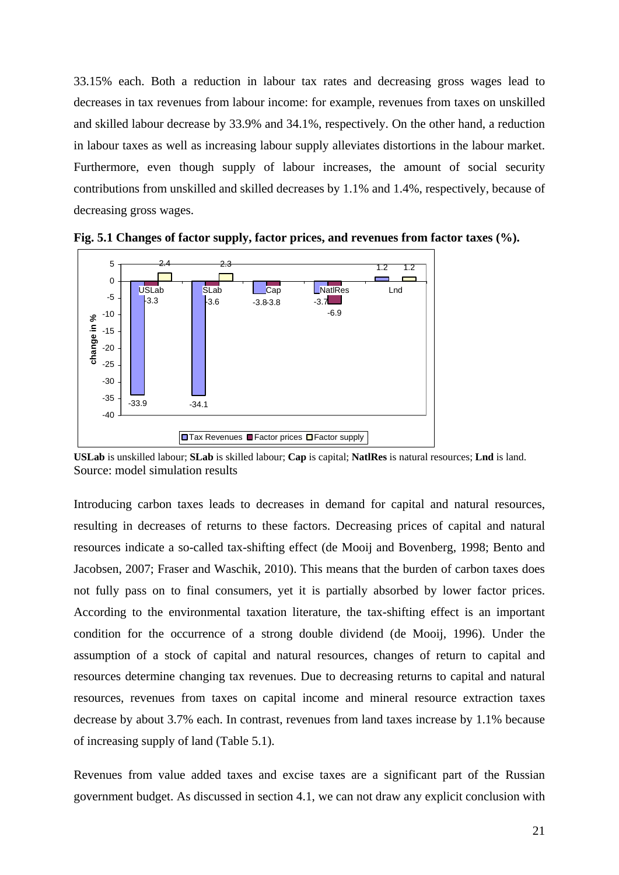33.15% each. Both a reduction in labour tax rates and decreasing gross wages lead to decreases in tax revenues from labour income: for example, revenues from taxes on unskilled and skilled labour decrease by 33.9% and 34.1%, respectively. On the other hand, a reduction in labour taxes as well as increasing labour supply alleviates distortions in the labour market. Furthermore, even though supply of labour increases, the amount of social security contributions from unskilled and skilled decreases by 1.1% and 1.4%, respectively, because of decreasing gross wages.



**Fig. 5.1 Changes of factor supply, factor prices, and revenues from factor taxes (%).** 

**USLab** is unskilled labour; **SLab** is skilled labour; **Cap** is capital; **NatlRes** is natural resources; **Lnd** is land. Source: model simulation results

Introducing carbon taxes leads to decreases in demand for capital and natural resources, resulting in decreases of returns to these factors. Decreasing prices of capital and natural resources indicate a so-called tax-shifting effect (de Mooij and Bovenberg, 1998; Bento and Jacobsen, 2007; Fraser and Waschik, 2010). This means that the burden of carbon taxes does not fully pass on to final consumers, yet it is partially absorbed by lower factor prices. According to the environmental taxation literature, the tax-shifting effect is an important condition for the occurrence of a strong double dividend (de Mooij, 1996). Under the assumption of a stock of capital and natural resources, changes of return to capital and resources determine changing tax revenues. Due to decreasing returns to capital and natural resources, revenues from taxes on capital income and mineral resource extraction taxes decrease by about 3.7% each. In contrast, revenues from land taxes increase by 1.1% because of increasing supply of land (Table 5.1).

Revenues from value added taxes and excise taxes are a significant part of the Russian government budget. As discussed in section 4.1, we can not draw any explicit conclusion with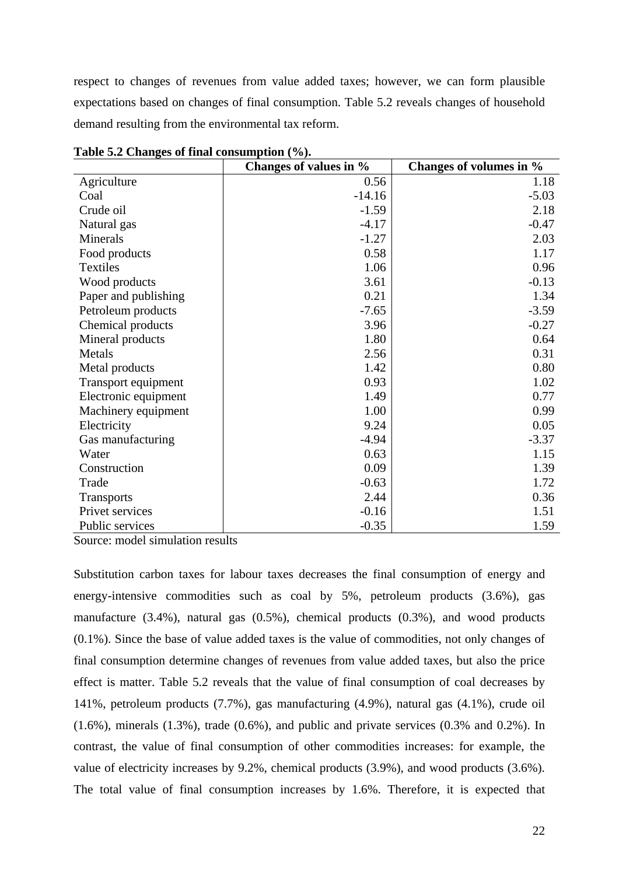respect to changes of revenues from value added taxes; however, we can form plausible expectations based on changes of final consumption. Table 5.2 reveals changes of household demand resulting from the environmental tax reform.

|                      | Changes of values in % | Changes of volumes in % |
|----------------------|------------------------|-------------------------|
| Agriculture          | 0.56                   | 1.18                    |
| Coal                 | $-14.16$               | $-5.03$                 |
| Crude oil            | $-1.59$                | 2.18                    |
| Natural gas          | $-4.17$                | $-0.47$                 |
| Minerals             | $-1.27$                | 2.03                    |
| Food products        | 0.58                   | 1.17                    |
| Textiles             | 1.06                   | 0.96                    |
| Wood products        | 3.61                   | $-0.13$                 |
| Paper and publishing | 0.21                   | 1.34                    |
| Petroleum products   | $-7.65$                | $-3.59$                 |
| Chemical products    | 3.96                   | $-0.27$                 |
| Mineral products     | 1.80                   | 0.64                    |
| Metals               | 2.56                   | 0.31                    |
| Metal products       | 1.42                   | 0.80                    |
| Transport equipment  | 0.93                   | 1.02                    |
| Electronic equipment | 1.49                   | 0.77                    |
| Machinery equipment  | 1.00                   | 0.99                    |
| Electricity          | 9.24                   | 0.05                    |
| Gas manufacturing    | $-4.94$                | $-3.37$                 |
| Water                | 0.63                   | 1.15                    |
| Construction         | 0.09                   | 1.39                    |
| Trade                | $-0.63$                | 1.72                    |
| <b>Transports</b>    | 2.44                   | 0.36                    |
| Privet services      | $-0.16$                | 1.51                    |
| Public services      | $-0.35$                | 1.59                    |

**Table 5.2 Changes of final consumption (%).** 

Source: model simulation results

Substitution carbon taxes for labour taxes decreases the final consumption of energy and energy-intensive commodities such as coal by 5%, petroleum products (3.6%), gas manufacture (3.4%), natural gas (0.5%), chemical products (0.3%), and wood products (0.1%). Since the base of value added taxes is the value of commodities, not only changes of final consumption determine changes of revenues from value added taxes, but also the price effect is matter. Table 5.2 reveals that the value of final consumption of coal decreases by 141%, petroleum products (7.7%), gas manufacturing (4.9%), natural gas (4.1%), crude oil  $(1.6\%)$ , minerals  $(1.3\%)$ , trade  $(0.6\%)$ , and public and private services  $(0.3\%$  and  $0.2\%)$ . In contrast, the value of final consumption of other commodities increases: for example, the value of electricity increases by 9.2%, chemical products (3.9%), and wood products (3.6%). The total value of final consumption increases by 1.6%. Therefore, it is expected that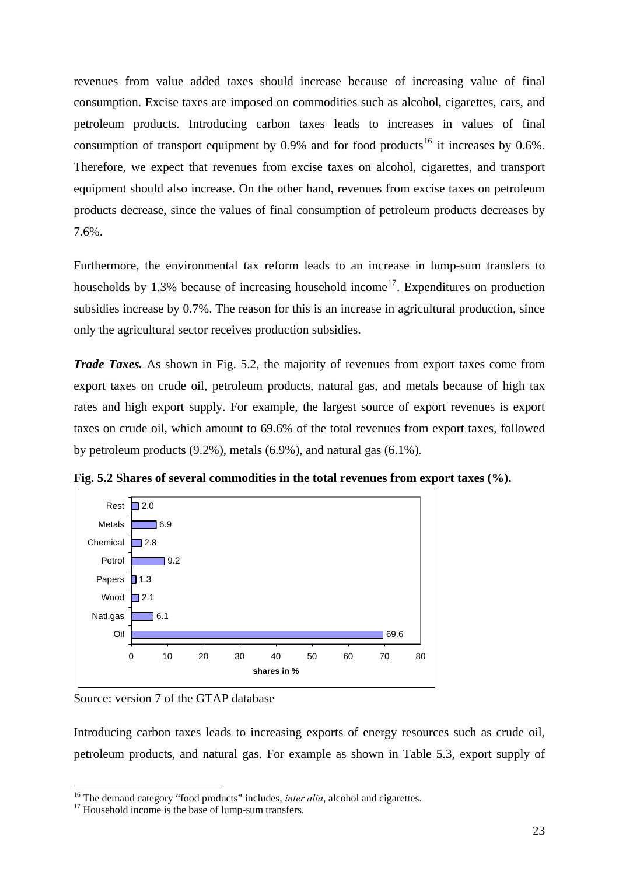revenues from value added taxes should increase because of increasing value of final consumption. Excise taxes are imposed on commodities such as alcohol, cigarettes, cars, and petroleum products. Introducing carbon taxes leads to increases in values of final consumption of transport equipment by  $0.9\%$  and for food products<sup>[16](#page-22-0)</sup> it increases by  $0.6\%$ . Therefore, we expect that revenues from excise taxes on alcohol, cigarettes, and transport equipment should also increase. On the other hand, revenues from excise taxes on petroleum products decrease, since the values of final consumption of petroleum products decreases by 7.6%.

Furthermore, the environmental tax reform leads to an increase in lump-sum transfers to households by 1.3% because of increasing household income<sup>[17](#page-22-1)</sup>. Expenditures on production subsidies increase by 0.7%. The reason for this is an increase in agricultural production, since only the agricultural sector receives production subsidies.

*Trade Taxes.* As shown in Fig. 5.2, the majority of revenues from export taxes come from export taxes on crude oil, petroleum products, natural gas, and metals because of high tax rates and high export supply. For example, the largest source of export revenues is export taxes on crude oil, which amount to 69.6% of the total revenues from export taxes, followed by petroleum products (9.2%), metals (6.9%), and natural gas (6.1%).



**Fig. 5.2 Shares of several commodities in the total revenues from export taxes (%).**

Source: version 7 of the GTAP database

1

Introducing carbon taxes leads to increasing exports of energy resources such as crude oil, petroleum products, and natural gas. For example as shown in Table 5.3, export supply of

<span id="page-22-0"></span><sup>&</sup>lt;sup>16</sup> The demand category "food products" includes, *inter alia*, alcohol and cigarettes.<br><sup>17</sup> Household income is the base of lump-sum transfers.

<span id="page-22-1"></span>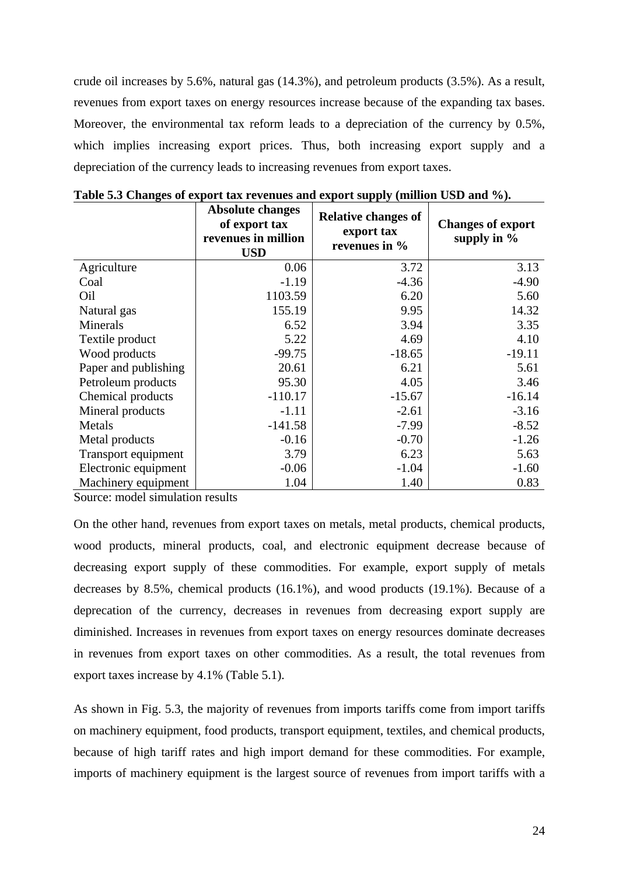crude oil increases by 5.6%, natural gas (14.3%), and petroleum products (3.5%). As a result, revenues from export taxes on energy resources increase because of the expanding tax bases. Moreover, the environmental tax reform leads to a depreciation of the currency by 0.5%, which implies increasing export prices. Thus, both increasing export supply and a depreciation of the currency leads to increasing revenues from export taxes.

|                      | <b>Absolute changes</b><br>of export tax<br>revenues in million<br><b>USD</b> | <b>Relative changes of</b><br>export tax<br>revenues in % | <b>Changes of export</b><br>supply in $%$ |
|----------------------|-------------------------------------------------------------------------------|-----------------------------------------------------------|-------------------------------------------|
| Agriculture          | 0.06                                                                          | 3.72                                                      | 3.13                                      |
| Coal                 | $-1.19$                                                                       | $-4.36$                                                   | $-4.90$                                   |
| Oil                  | 1103.59                                                                       | 6.20                                                      | 5.60                                      |
| Natural gas          | 155.19                                                                        | 9.95                                                      | 14.32                                     |
| Minerals             | 6.52                                                                          | 3.94                                                      | 3.35                                      |
| Textile product      | 5.22                                                                          | 4.69                                                      | 4.10                                      |
| Wood products        | $-99.75$                                                                      | $-18.65$                                                  | $-19.11$                                  |
| Paper and publishing | 20.61                                                                         | 6.21                                                      | 5.61                                      |
| Petroleum products   | 95.30                                                                         | 4.05                                                      | 3.46                                      |
| Chemical products    | $-110.17$                                                                     | $-15.67$                                                  | $-16.14$                                  |
| Mineral products     | $-1.11$                                                                       | $-2.61$                                                   | $-3.16$                                   |
| Metals               | $-141.58$                                                                     | $-7.99$                                                   | $-8.52$                                   |
| Metal products       | $-0.16$                                                                       | $-0.70$                                                   | $-1.26$                                   |
| Transport equipment  | 3.79                                                                          | 6.23                                                      | 5.63                                      |
| Electronic equipment | $-0.06$                                                                       | $-1.04$                                                   | $-1.60$                                   |
| Machinery equipment  | 1.04                                                                          | 1.40                                                      | 0.83                                      |

**Table 5.3 Changes of export tax revenues and export supply (million USD and %).**

Source: model simulation results

On the other hand, revenues from export taxes on metals, metal products, chemical products, wood products, mineral products, coal, and electronic equipment decrease because of decreasing export supply of these commodities. For example, export supply of metals decreases by 8.5%, chemical products (16.1%), and wood products (19.1%). Because of a deprecation of the currency, decreases in revenues from decreasing export supply are diminished. Increases in revenues from export taxes on energy resources dominate decreases in revenues from export taxes on other commodities. As a result, the total revenues from export taxes increase by 4.1% (Table 5.1).

As shown in Fig. 5.3, the majority of revenues from imports tariffs come from import tariffs on machinery equipment, food products, transport equipment, textiles, and chemical products, because of high tariff rates and high import demand for these commodities. For example, imports of machinery equipment is the largest source of revenues from import tariffs with a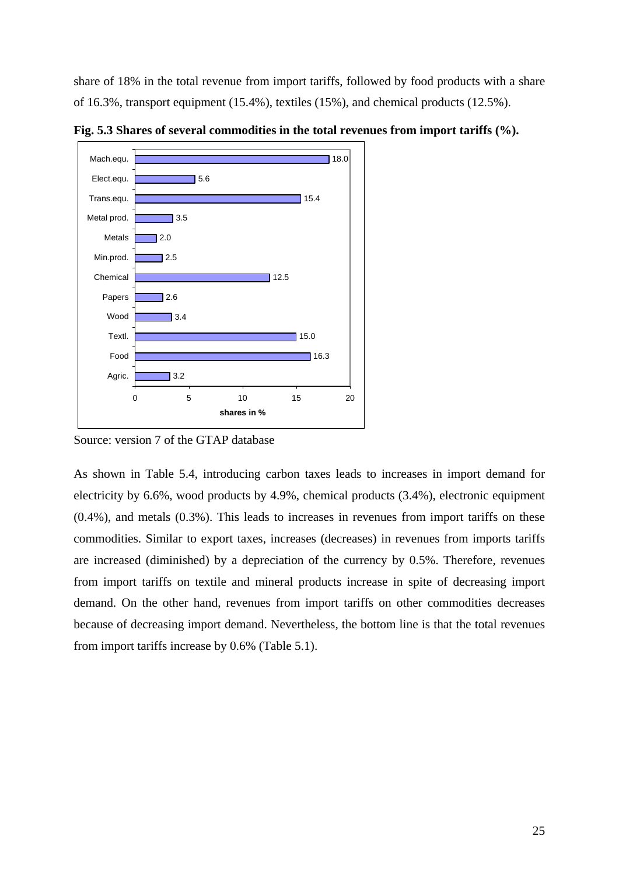share of 18% in the total revenue from import tariffs, followed by food products with a share of 16.3%, transport equipment (15.4%), textiles (15%), and chemical products (12.5%).



**Fig. 5.3 Shares of several commodities in the total revenues from import tariffs (%).**

Source: version 7 of the GTAP database

As shown in Table 5.4, introducing carbon taxes leads to increases in import demand for electricity by 6.6%, wood products by 4.9%, chemical products (3.4%), electronic equipment (0.4%), and metals (0.3%). This leads to increases in revenues from import tariffs on these commodities. Similar to export taxes, increases (decreases) in revenues from imports tariffs are increased (diminished) by a depreciation of the currency by 0.5%. Therefore, revenues from import tariffs on textile and mineral products increase in spite of decreasing import demand. On the other hand, revenues from import tariffs on other commodities decreases because of decreasing import demand. Nevertheless, the bottom line is that the total revenues from import tariffs increase by 0.6% (Table 5.1).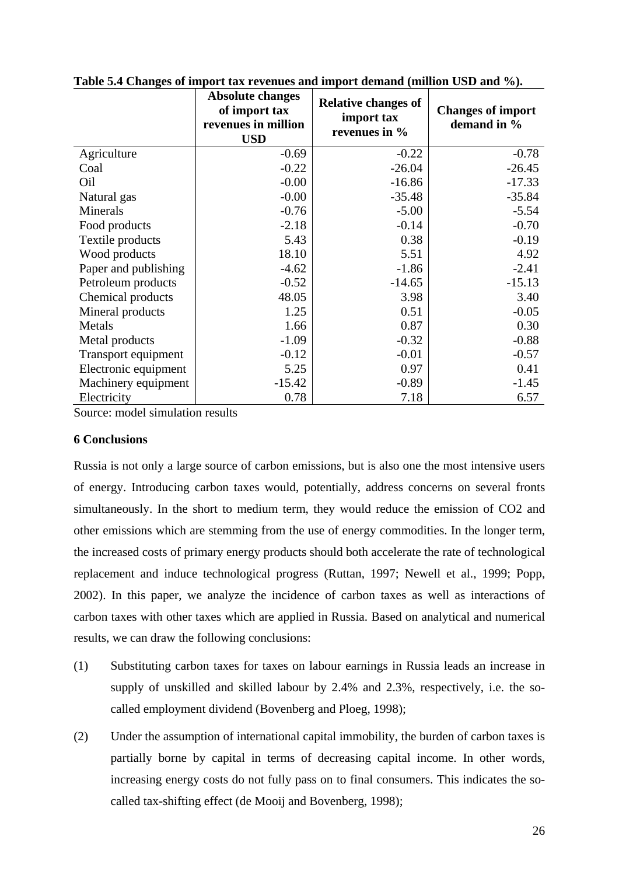|                      | <b>Absolute changes</b><br>of import tax<br>revenues in million<br><b>USD</b> | <b>Relative changes of</b><br>import tax<br>revenues in % | <b>Changes of import</b><br>demand in % |
|----------------------|-------------------------------------------------------------------------------|-----------------------------------------------------------|-----------------------------------------|
| Agriculture          | $-0.69$                                                                       | $-0.22$                                                   | $-0.78$                                 |
| Coal                 | $-0.22$                                                                       | $-26.04$                                                  | $-26.45$                                |
| Oil                  | $-0.00$                                                                       | $-16.86$                                                  | $-17.33$                                |
| Natural gas          | $-0.00$                                                                       | $-35.48$                                                  | $-35.84$                                |
| Minerals             | $-0.76$                                                                       | $-5.00$                                                   | $-5.54$                                 |
| Food products        | $-2.18$                                                                       | $-0.14$                                                   | $-0.70$                                 |
| Textile products     | 5.43                                                                          | 0.38                                                      | $-0.19$                                 |
| Wood products        | 18.10                                                                         | 5.51                                                      | 4.92                                    |
| Paper and publishing | $-4.62$                                                                       | $-1.86$                                                   | $-2.41$                                 |
| Petroleum products   | $-0.52$                                                                       | $-14.65$                                                  | $-15.13$                                |
| Chemical products    | 48.05                                                                         | 3.98                                                      | 3.40                                    |
| Mineral products     | 1.25                                                                          | 0.51                                                      | $-0.05$                                 |
| Metals               | 1.66                                                                          | 0.87                                                      | 0.30                                    |
| Metal products       | $-1.09$                                                                       | $-0.32$                                                   | $-0.88$                                 |
| Transport equipment  | $-0.12$                                                                       | $-0.01$                                                   | $-0.57$                                 |
| Electronic equipment | 5.25                                                                          | 0.97                                                      | 0.41                                    |
| Machinery equipment  | $-15.42$                                                                      | $-0.89$                                                   | $-1.45$                                 |
| Electricity          | 0.78                                                                          | 7.18                                                      | 6.57                                    |

**Table 5.4 Changes of import tax revenues and import demand (million USD and %).**

Source: model simulation results

## <span id="page-25-0"></span>**6 Conclusions**

Russia is not only a large source of carbon emissions, but is also one the most intensive users of energy. Introducing carbon taxes would, potentially, address concerns on several fronts simultaneously. In the short to medium term, they would reduce the emission of CO2 and other emissions which are stemming from the use of energy commodities. In the longer term, the increased costs of primary energy products should both accelerate the rate of technological replacement and induce technological progress (Ruttan, 1997; Newell et al., 1999; Popp, 2002). In this paper, we analyze the incidence of carbon taxes as well as interactions of carbon taxes with other taxes which are applied in Russia. Based on analytical and numerical results, we can draw the following conclusions:

- (1) Substituting carbon taxes for taxes on labour earnings in Russia leads an increase in supply of unskilled and skilled labour by 2.4% and 2.3%, respectively, i.e. the socalled employment dividend (Bovenberg and Ploeg, 1998);
- (2) Under the assumption of international capital immobility, the burden of carbon taxes is partially borne by capital in terms of decreasing capital income. In other words, increasing energy costs do not fully pass on to final consumers. This indicates the socalled tax-shifting effect (de Mooij and Bovenberg, 1998);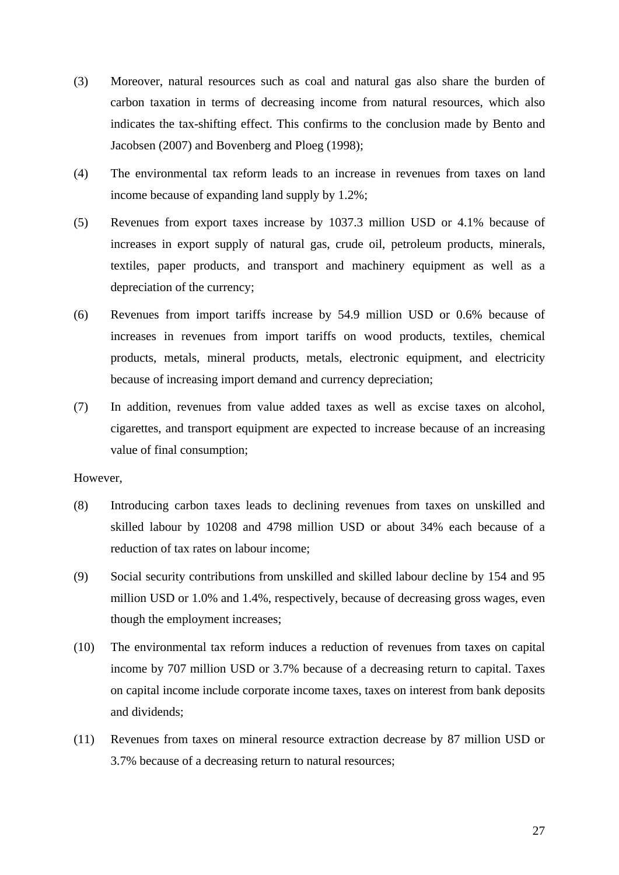- (3) Moreover, natural resources such as coal and natural gas also share the burden of carbon taxation in terms of decreasing income from natural resources, which also indicates the tax-shifting effect. This confirms to the conclusion made by Bento and Jacobsen (2007) and Bovenberg and Ploeg (1998);
- (4) The environmental tax reform leads to an increase in revenues from taxes on land income because of expanding land supply by 1.2%;
- (5) Revenues from export taxes increase by 1037.3 million USD or 4.1% because of increases in export supply of natural gas, crude oil, petroleum products, minerals, textiles, paper products, and transport and machinery equipment as well as a depreciation of the currency;
- (6) Revenues from import tariffs increase by 54.9 million USD or 0.6% because of increases in revenues from import tariffs on wood products, textiles, chemical products, metals, mineral products, metals, electronic equipment, and electricity because of increasing import demand and currency depreciation;
- (7) In addition, revenues from value added taxes as well as excise taxes on alcohol, cigarettes, and transport equipment are expected to increase because of an increasing value of final consumption;

## However,

- (8) Introducing carbon taxes leads to declining revenues from taxes on unskilled and skilled labour by 10208 and 4798 million USD or about 34% each because of a reduction of tax rates on labour income;
- (9) Social security contributions from unskilled and skilled labour decline by 154 and 95 million USD or 1.0% and 1.4%, respectively, because of decreasing gross wages, even though the employment increases;
- (10) The environmental tax reform induces a reduction of revenues from taxes on capital income by 707 million USD or 3.7% because of a decreasing return to capital. Taxes on capital income include corporate income taxes, taxes on interest from bank deposits and dividends;
- (11) Revenues from taxes on mineral resource extraction decrease by 87 million USD or 3.7% because of a decreasing return to natural resources;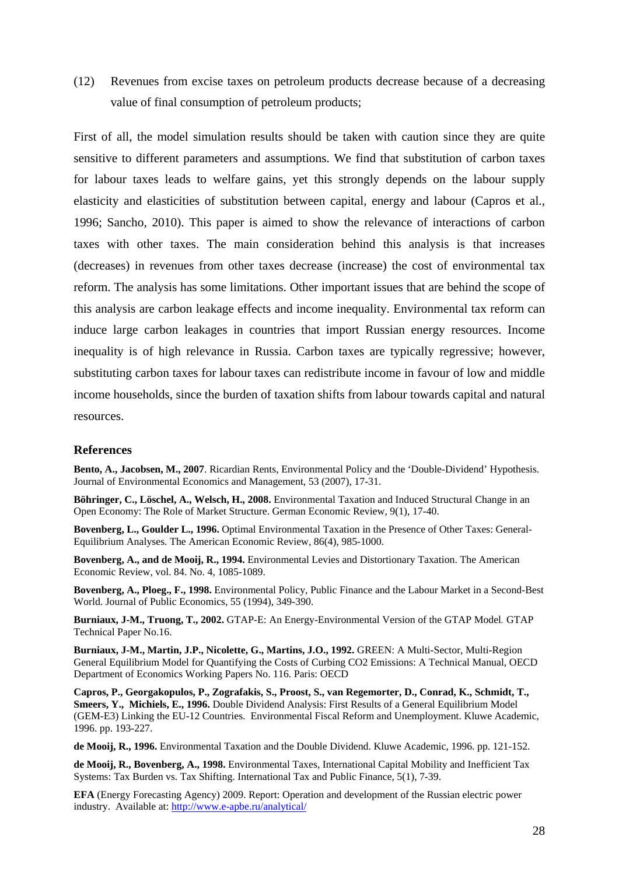(12) Revenues from excise taxes on petroleum products decrease because of a decreasing value of final consumption of petroleum products;

First of all, the model simulation results should be taken with caution since they are quite sensitive to different parameters and assumptions. We find that substitution of carbon taxes for labour taxes leads to welfare gains, yet this strongly depends on the labour supply elasticity and elasticities of substitution between capital, energy and labour (Capros et al., 1996; Sancho, 2010). This paper is aimed to show the relevance of interactions of carbon taxes with other taxes. The main consideration behind this analysis is that increases (decreases) in revenues from other taxes decrease (increase) the cost of environmental tax reform. The analysis has some limitations. Other important issues that are behind the scope of this analysis are carbon leakage effects and income inequality. Environmental tax reform can induce large carbon leakages in countries that import Russian energy resources. Income inequality is of high relevance in Russia. Carbon taxes are typically regressive; however, substituting carbon taxes for labour taxes can redistribute income in favour of low and middle income households, since the burden of taxation shifts from labour towards capital and natural resources.

### <span id="page-27-0"></span>**References**

**Bento, A., Jacobsen, M., 2007**. Ricardian Rents, Environmental Policy and the 'Double-Dividend' Hypothesis. Journal of Environmental Economics and Management, 53 (2007), 17-31.

**Böhringer, C., Löschel, A., Welsch, H., 2008.** Environmental Taxation and Induced Structural Change in an Open Economy: The Role of Market Structure. German Economic Review, 9(1), 17-40.

**Bovenberg, L., Goulder L., 1996.** Optimal Environmental Taxation in the Presence of Other Taxes: General-Equilibrium Analyses. The American Economic Review, 86(4), 985-1000.

**Bovenberg, A., and de Mooij, R., 1994.** Environmental Levies and Distortionary Taxation. The American Economic Review, vol. 84. No. 4, 1085-1089.

**Bovenberg, A., Ploeg., F., 1998.** Environmental Policy, Public Finance and the Labour Market in a Second-Best World. Journal of Public Economics, 55 (1994), 349-390.

**Burniaux, J-M., Truong, T., 2002.** GTAP-E: An Energy-Environmental Version of the GTAP Model*.* GTAP Technical Paper No.16.

**Burniaux, J-M., Martin, J.P., Nicolette, G., Martins, J.O., 1992.** GREEN: A Multi-Sector, Multi-Region General Equilibrium Model for Quantifying the Costs of Curbing CO2 Emissions: A Technical Manual, OECD Department of Economics Working Papers No. 116. Paris: OECD

**Capros, P., Georgakopulos, P., Zografakis, S., Proost, S., van Regemorter, D., Conrad, K., Schmidt, T., Smeers, Y., Michiels, E., 1996.** Double Dividend Analysis: First Results of a General Equilibrium Model (GEM-E3) Linking the EU-12 Countries. Environmental Fiscal Reform and Unemployment. Kluwe Academic, 1996. pp. 193-227.

**de Mooij, R., 1996.** Environmental Taxation and the Double Dividend. Kluwe Academic, 1996. pp. 121-152.

**de Mooij, R., Bovenberg, A., 1998.** Environmental Taxes, International Capital Mobility and Inefficient Tax Systems: Tax Burden vs. Tax Shifting. International Tax and Public Finance, 5(1), 7-39.

**EFA** (Energy Forecasting Agency) 2009. Report: Operation and development of the Russian electric power industry. Available at:<http://www.e-apbe.ru/analytical/>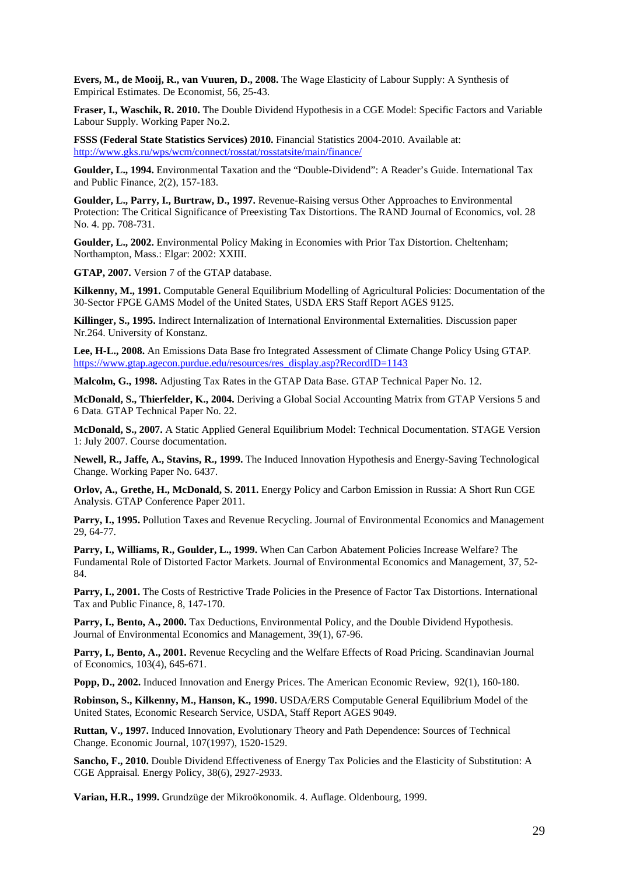**Evers, M., de Mooij, R., van Vuuren, D., 2008.** The Wage Elasticity of Labour Supply: A Synthesis of Empirical Estimates. De Economist, 56, 25-43.

**Fraser, I., Waschik, R. 2010.** The Double Dividend Hypothesis in a CGE Model: Specific Factors and Variable Labour Supply. Working Paper No.2.

**FSSS (Federal State Statistics Services) 2010.** Financial Statistics 2004-2010. Available at: <http://www.gks.ru/wps/wcm/connect/rosstat/rosstatsite/main/finance/>

**Goulder, L., 1994.** Environmental Taxation and the "Double-Dividend": A Reader's Guide. International Tax and Public Finance, 2(2), 157-183.

**Goulder, L., Parry, I., Burtraw, D., 1997.** Revenue-Raising versus Other Approaches to Environmental Protection: The Critical Significance of Preexisting Tax Distortions. The RAND Journal of Economics, vol. 28 No. 4. pp. 708-731.

**Goulder, L., 2002.** Environmental Policy Making in Economies with Prior Tax Distortion. Cheltenham; Northampton, Mass.: Elgar: 2002: XXIII.

**GTAP, 2007.** Version 7 of the GTAP database.

**Kilkenny, M., 1991.** Computable General Equilibrium Modelling of Agricultural Policies: Documentation of the 30-Sector FPGE GAMS Model of the United States, USDA ERS Staff Report AGES 9125.

**Killinger, S., 1995.** Indirect Internalization of International Environmental Externalities. Discussion paper Nr.264. University of Konstanz.

**Lee, H-L., 2008.** An Emissions Data Base fro Integrated Assessment of Climate Change Policy Using GTAP*.* [https://www.gtap.agecon.purdue.edu/resources/res\\_display.asp?RecordID=1143](https://www.gtap.agecon.purdue.edu/resources/res_display.asp?RecordID=1143)

**Malcolm, G., 1998.** Adjusting Tax Rates in the GTAP Data Base. GTAP Technical Paper No. 12.

**McDonald, S., Thierfelder, K., 2004.** Deriving a Global Social Accounting Matrix from GTAP Versions 5 and 6 Data*.* GTAP Technical Paper No. 22.

**McDonald, S., 2007.** A Static Applied General Equilibrium Model: Technical Documentation. STAGE Version 1: July 2007. Course documentation.

**Newell, R., Jaffe, A., Stavins, R., 1999.** The Induced Innovation Hypothesis and Energy-Saving Technological Change. Working Paper No. 6437.

**Orlov, A., Grethe, H., McDonald, S. 2011.** Energy Policy and Carbon Emission in Russia: A Short Run CGE Analysis. GTAP Conference Paper 2011.

**Parry, I., 1995.** Pollution Taxes and Revenue Recycling. Journal of Environmental Economics and Management 29, 64-77.

**Parry, I., Williams, R., Goulder, L., 1999.** When Can Carbon Abatement Policies Increase Welfare? The Fundamental Role of Distorted Factor Markets. Journal of Environmental Economics and Management, 37, 52- 84.

**Parry, I., 2001.** The Costs of Restrictive Trade Policies in the Presence of Factor Tax Distortions. International Tax and Public Finance, 8, 147-170.

Parry, I., Bento, A., 2000. Tax Deductions, Environmental Policy, and the Double Dividend Hypothesis. Journal of Environmental Economics and Management, 39(1), 67-96.

Parry, I., Bento, A., 2001. Revenue Recycling and the Welfare Effects of Road Pricing. Scandinavian Journal of Economics, 103(4), 645-671.

**Popp, D., 2002.** Induced Innovation and Energy Prices. The American Economic Review, 92(1), 160-180.

**Robinson, S., Kilkenny, M., Hanson, K., 1990.** USDA/ERS Computable General Equilibrium Model of the United States, Economic Research Service, USDA, Staff Report AGES 9049.

**Ruttan, V., 1997.** Induced Innovation, Evolutionary Theory and Path Dependence: Sources of Technical Change. Economic Journal, 107(1997), 1520-1529.

**Sancho, F., 2010.** Double Dividend Effectiveness of Energy Tax Policies and the Elasticity of Substitution: A CGE Appraisal*.* Energy Policy, 38(6), 2927-2933.

**Varian, H.R., 1999.** Grundzüge der Mikroökonomik. 4. Auflage. Oldenbourg, 1999.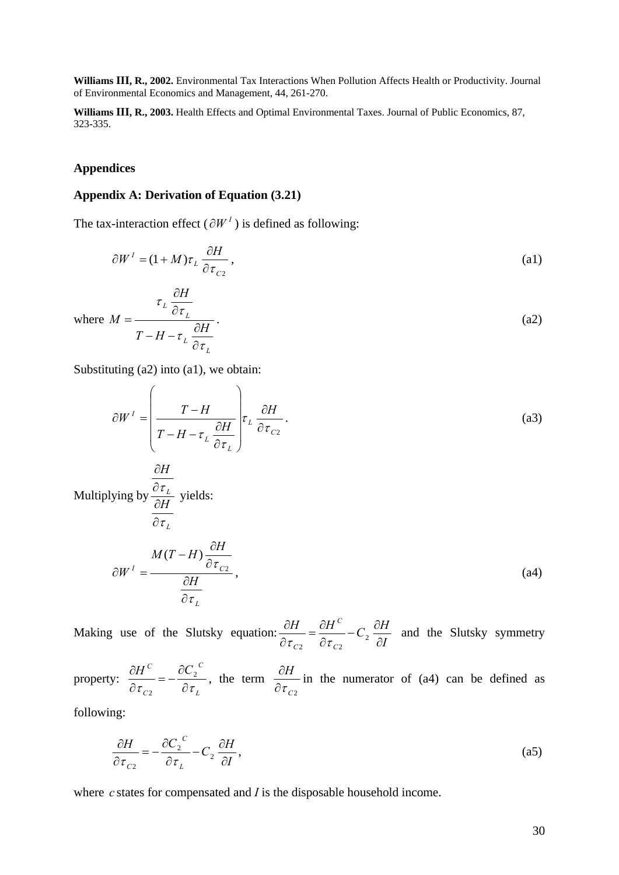**Williams III, R., 2002.** Environmental Tax Interactions When Pollution Affects Health or Productivity. Journal of Environmental Economics and Management, 44, 261-270.

**Williams III, R., 2003.** Health Effects and Optimal Environmental Taxes. Journal of Public Economics, 87, 323-335.

## <span id="page-29-0"></span>**Appendices**

#### <span id="page-29-1"></span>**Appendix A: Derivation of Equation (3.21)**

The tax-interaction effect ( $\partial W^I$ ) is defined as following:

$$
\partial W^{I} = (1 + M)\tau_{L} \frac{\partial H}{\partial \tau_{C2}},
$$
\n(a)

where 
$$
M = \frac{\tau_L \frac{\partial H}{\partial \tau_L}}{T - H - \tau_L \frac{\partial H}{\partial \tau_L}}.
$$
 (a2)

Substituting  $(a2)$  into  $(a1)$ , we obtain:

$$
\partial W^{I} = \left(\frac{T - H}{T - H - \tau_{L}} \frac{\partial H}{\partial \tau_{L}}\right) \tau_{L} \frac{\partial H}{\partial \tau_{C2}}.
$$
\n(a3)  
\nMultiplying by  $\frac{\partial H}{\partial H}$  yields:  
\n
$$
\frac{M(T - H) \frac{\partial H}{\partial \tau_{L}}}{\partial \tau_{L}}
$$
\n
$$
\partial W^{I} = \frac{M(T - H) \frac{\partial H}{\partial \tau_{C2}}}{\partial \tau_{L}},
$$
\n(a4)

Making use of the Slutsky equation:  $\frac{\partial H}{\partial \tau_{C2}} = \frac{\partial H}{\partial \tau_{C2}} - C_2 \frac{\partial H}{\partial I}$ *C C*  $\frac{\partial H}{\partial \tau_{c2}} = \frac{\partial H^C}{\partial \tau_{c2}} - C_2 \frac{\partial H}{\partial \tau_{c2}}$  $\overline{\sigma_{c2}}$  –  $\overline{\partial \tau_{c2}}$  –  $C_2$ and the Slutsky symmetry

property: *L C C*  $H^C$  *c*  $\partial C$  $\frac{\partial H^C}{\partial \tau_{C2}} = -\frac{\partial C_2}{\partial \tau_{C2}}$ 2 , the term *C*2 *H*  $\partial \tau$  $\partial H$  in the numerator of (a4) can be defined as

following:

$$
\frac{\partial H}{\partial \tau_{c2}} = -\frac{\partial C_2^c}{\partial \tau_L} - C_2 \frac{\partial H}{\partial I},
$$
\n(a5)

where *c* states for compensated and *I* is the disposable household income.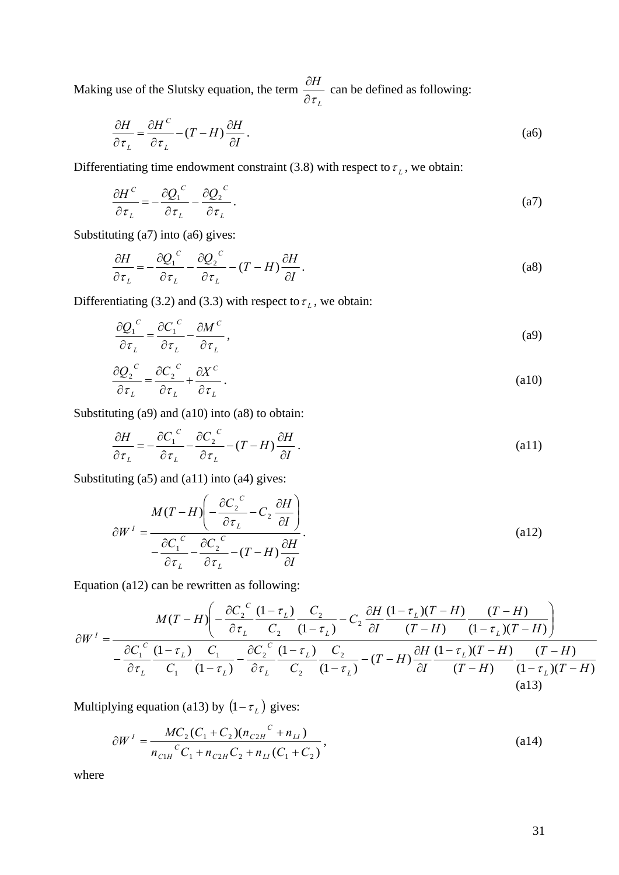Making use of the Slutsky equation, the term *L H*  $\partial \tau$  $\frac{\partial H}{\partial \mathbf{r}}$  can be defined as following:

$$
\frac{\partial H}{\partial \tau_L} = \frac{\partial H^C}{\partial \tau_L} - (T - H) \frac{\partial H}{\partial I}.
$$
\n
$$
(a6)
$$

Differentiating time endowment constraint (3.8) with respect to  $\tau_L$ , we obtain:

$$
\frac{\partial H^C}{\partial \tau_L} = -\frac{\partial Q_1^C}{\partial \tau_L} - \frac{\partial Q_2^C}{\partial \tau_L}.
$$
\n(a7)

Substituting (a7) into (a6) gives:

*C*

$$
\frac{\partial H}{\partial \tau_L} = -\frac{\partial Q_1^C}{\partial \tau_L} - \frac{\partial Q_2^C}{\partial \tau_L} - (T - H) \frac{\partial H}{\partial I}.
$$
\n(a8)

Differentiating (3.2) and (3.3) with respect to  $\tau_L$ , we obtain:

$$
\frac{\partial Q_1^C}{\partial \tau_L} = \frac{\partial C_1^C}{\partial \tau_L} - \frac{\partial M^C}{\partial \tau_L},
$$
\n(a9)

$$
\frac{\partial Q_2^C}{\partial \tau_L} = \frac{\partial C_2^C}{\partial \tau_L} + \frac{\partial X^C}{\partial \tau_L}.
$$
\n(a10)

Substituting (a9) and (a10) into (a8) to obtain:

$$
\frac{\partial H}{\partial \tau_L} = -\frac{\partial C_1^C}{\partial \tau_L} - \frac{\partial C_2^C}{\partial \tau_L} - (T - H) \frac{\partial H}{\partial I}.
$$
\n(a11)

Substituting (a5) and (a11) into (a4) gives:

$$
\partial W^{I} = \frac{M(T - H) \left( -\frac{\partial C_{2}^{C}}{\partial \tau_{L}} - C_{2} \frac{\partial H}{\partial I} \right)}{-\frac{\partial C_{1}^{C}}{\partial \tau_{L}} - \frac{\partial C_{2}^{C}}{\partial \tau_{L}} - (T - H) \frac{\partial H}{\partial I}}.
$$
\n(a12)

Equation (a12) can be rewritten as following:

$$
\partial W^{I} = \frac{M(T - H)\left(-\frac{\partial C_{2}^{C}}{\partial \tau_{L}}\frac{(1 - \tau_{L})}{C_{2}} - C_{2}\frac{\partial H}{\partial I}\frac{(1 - \tau_{L})(T - H)}{(T - H)}\frac{(T - H)}{(1 - \tau_{L})(T - H)}\right)}{-\frac{\partial C_{1}^{C}}{D\tau_{L}}\frac{(1 - \tau_{L})}{C_{1}}\frac{C_{1}}{(1 - \tau_{L})} - \frac{\partial C_{2}^{C}}{\partial \tau_{L}}\frac{(1 - \tau_{L})}{C_{2}}\frac{C_{2}}{(1 - \tau_{L})} - (T - H)\frac{\partial H}{\partial I}\frac{(1 - \tau_{L})(T - H)}{(T - H)}\frac{(T - H)}{(1 - \tau_{L})(T - H)}
$$
\n(a13)

Multiplying equation (a13) by  $(1 - \tau_L)$  gives:

$$
\partial W^{I} = \frac{MC_{2}(C_{1} + C_{2})(n_{C2H}^{C} + n_{LI})}{n_{C1H}^{C}C_{1} + n_{C2H}C_{2} + n_{LI}(C_{1} + C_{2})},
$$
\n(a14)

where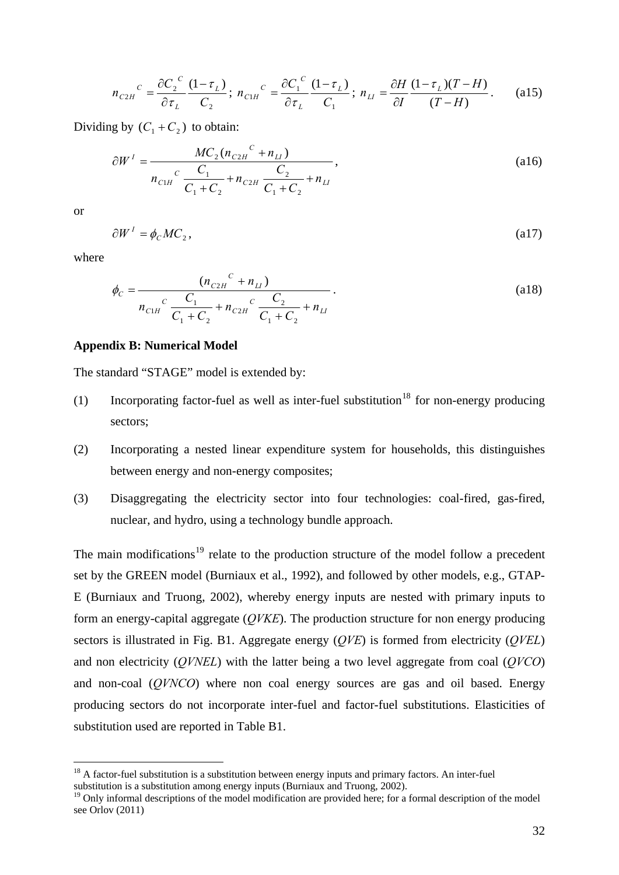$$
n_{C2H}^{\ C} = \frac{\partial C_2^{\ C}}{\partial \tau_L} \frac{(1 - \tau_L)}{C_2}; \ n_{C1H}^{\ C} = \frac{\partial C_1^{\ C}}{\partial \tau_L} \frac{(1 - \tau_L)}{C_1}; \ n_{LI} = \frac{\partial H}{\partial I} \frac{(1 - \tau_L)(T - H)}{(T - H)}.
$$
 (a15)

Dividing by  $(C_1 + C_2)$  to obtain:

$$
\partial W^{I} = \frac{MC_{2}(n_{C2H}^{C} + n_{LI})}{n_{C1H}^{C} \frac{C_{1}}{C_{1} + C_{2}} + n_{C2H} \frac{C_{2}}{C_{1} + C_{2}} + n_{LI}}
$$
\n(a16)

or

1

$$
\partial W^I = \phi_C M C_2, \qquad (a17)
$$

where

$$
\phi_C = \frac{(n_{C2H}^C + n_{LI})}{n_{C1H}^C \frac{C_1}{C_1 + C_2} + n_{C2H}^C \frac{C_2}{C_1 + C_2} + n_{LI}}.
$$
\n(a18)

## <span id="page-31-0"></span>**Appendix B: Numerical Model**

The standard "STAGE" model is extended by:

- (1) Incorporating factor-fuel as well as inter-fuel substitution<sup>[18](#page-31-1)</sup> for non-energy producing sectors;
- (2) Incorporating a nested linear expenditure system for households, this distinguishes between energy and non-energy composites;
- (3) Disaggregating the electricity sector into four technologies: coal-fired, gas-fired, nuclear, and hydro, using a technology bundle approach.

The main modifications<sup>[19](#page-31-2)</sup> relate to the production structure of the model follow a precedent set by the GREEN model (Burniaux et al., 1992), and followed by other models, e.g., GTAP-E (Burniaux and Truong, 2002), whereby energy inputs are nested with primary inputs to form an energy-capital aggregate (*QVKE*). The production structure for non energy producing sectors is illustrated in Fig. B1. Aggregate energy (*QVE*) is formed from electricity (*QVEL*) and non electricity (*QVNEL*) with the latter being a two level aggregate from coal (*QVCO*) and non-coal (*QVNCO*) where non coal energy sources are gas and oil based. Energy producing sectors do not incorporate inter-fuel and factor-fuel substitutions. Elasticities of substitution used are reported in Table B1.

<span id="page-31-1"></span> $18$  A factor-fuel substitution is a substitution between energy inputs and primary factors. An inter-fuel substitution is a substitution among energy inputs (Burniaux and Truong, 2002).

<span id="page-31-2"></span><sup>&</sup>lt;sup>19</sup> Only informal descriptions of the model modification are provided here; for a formal description of the model see Orlov (2011)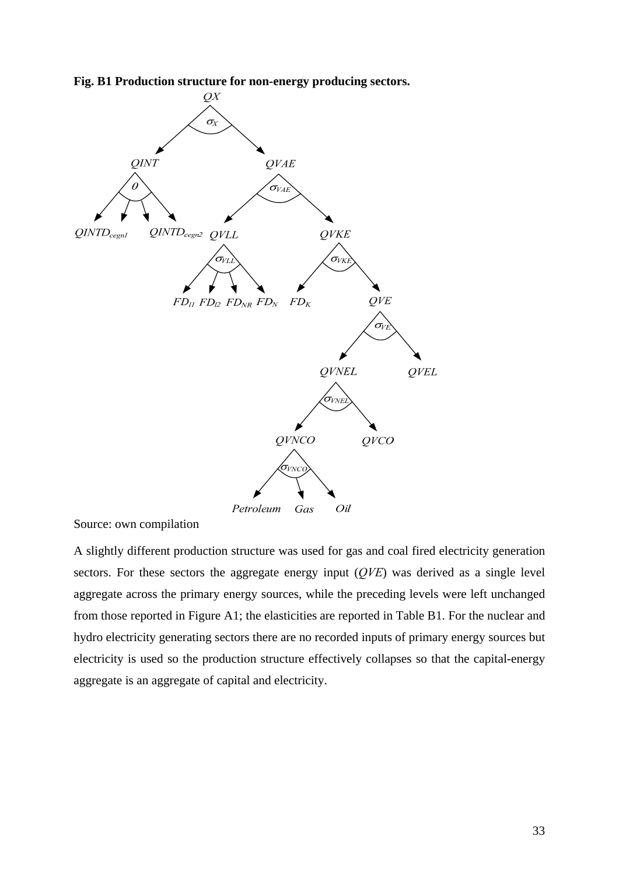



Source: own compilation

A slightly different production structure was used for gas and coal fired electricity generation sectors. For these sectors the aggregate energy input (*QVE*) was derived as a single level aggregate across the primary energy sources, while the preceding levels were left unchanged from those reported in Figure A1; the elasticities are reported in Table B1. For the nuclear and hydro electricity generating sectors there are no recorded inputs of primary energy sources but electricity is used so the production structure effectively collapses so that the capital-energy aggregate is an aggregate of capital and electricity.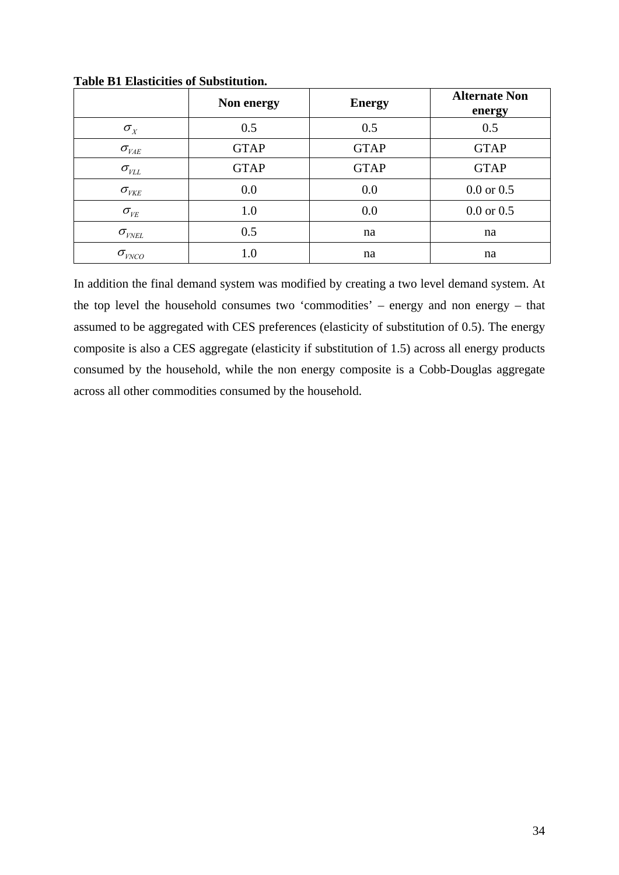|                                          | Non energy  | <b>Energy</b> | <b>Alternate Non</b><br>energy |
|------------------------------------------|-------------|---------------|--------------------------------|
| $\sigma_{X}$                             | 0.5         | 0.5           | 0.5                            |
| $\sigma_{_{VAE}}$                        | <b>GTAP</b> | <b>GTAP</b>   | <b>GTAP</b>                    |
| $\sigma_{\rm \scriptscriptstyle VLL}$    | <b>GTAP</b> | <b>GTAP</b>   | <b>GTAP</b>                    |
| $\sigma_{_{VKE}}$                        | 0.0         | 0.0           | $0.0$ or $0.5$                 |
| $\sigma_{\rm \scriptscriptstyle V\!E}$   | 1.0         | 0.0           | $0.0$ or $0.5$                 |
| $\sigma_{\rm {\scriptscriptstyle VNEL}}$ | 0.5         | na            | na                             |
| $\sigma_{\text{\tiny{VNCO}}}$            | 1.0         | na            | na                             |

**Table B1 Elasticities of Substitution.** 

In addition the final demand system was modified by creating a two level demand system. At the top level the household consumes two 'commodities' – energy and non energy – that assumed to be aggregated with CES preferences (elasticity of substitution of 0.5). The energy composite is also a CES aggregate (elasticity if substitution of 1.5) across all energy products consumed by the household, while the non energy composite is a Cobb-Douglas aggregate across all other commodities consumed by the household.